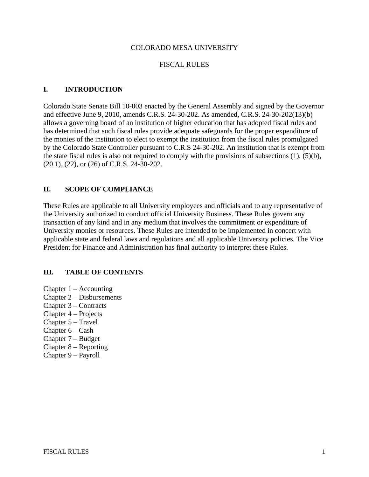#### COLORADO MESA UNIVERSITY

#### FISCAL RULES

#### **I. INTRODUCTION**

Colorado State Senate Bill 10-003 enacted by the General Assembly and signed by the Governor and effective June 9, 2010, amends C.R.S. 24-30-202. As amended, C.R.S. 24-30-202(13)(b) allows a governing board of an institution of higher education that has adopted fiscal rules and has determined that such fiscal rules provide adequate safeguards for the proper expenditure of the monies of the institution to elect to exempt the institution from the fiscal rules promulgated by the Colorado State Controller pursuant to C.R.S 24-30-202. An institution that is exempt from the state fiscal rules is also not required to comply with the provisions of subsections (1), (5)(b), (20.1), (22), or (26) of C.R.S. 24-30-202.

### **II. SCOPE OF COMPLIANCE**

These Rules are applicable to all University employees and officials and to any representative of the University authorized to conduct official University Business. These Rules govern any transaction of any kind and in any medium that involves the commitment or expenditure of University monies or resources. These Rules are intended to be implemented in concert with applicable state and federal laws and regulations and all applicable University policies. The Vice President for Finance and Administration has final authority to interpret these Rules.

#### **III. TABLE OF CONTENTS**

- Chapter 1 Accounting
- Chapter 2 Disbursements
- Chapter 3 Contracts
- Chapter 4 Projects
- Chapter 5 Travel
- Chapter 6 Cash
- Chapter 7 Budget
- Chapter 8 Reporting
- Chapter 9 Payroll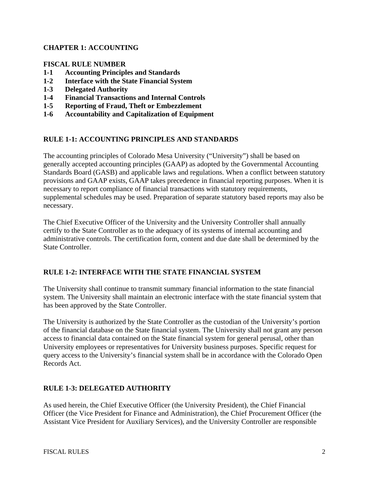# **CHAPTER 1: ACCOUNTING**

## **FISCAL RULE NUMBER**

- **1-1 Accounting Principles and Standards**
- **1-2 Interface with the State Financial System**
- **1-3 Delegated Authority**
- **1-4 Financial Transactions and Internal Controls**
- **1-5 Reporting of Fraud, Theft or Embezzlement**
- **1-6 Accountability and Capitalization of Equipment**

## **RULE 1-1: ACCOUNTING PRINCIPLES AND STANDARDS**

The accounting principles of Colorado Mesa University ("University") shall be based on generally accepted accounting principles (GAAP) as adopted by the Governmental Accounting Standards Board (GASB) and applicable laws and regulations. When a conflict between statutory provisions and GAAP exists, GAAP takes precedence in financial reporting purposes. When it is necessary to report compliance of financial transactions with statutory requirements, supplemental schedules may be used. Preparation of separate statutory based reports may also be necessary.

The Chief Executive Officer of the University and the University Controller shall annually certify to the State Controller as to the adequacy of its systems of internal accounting and administrative controls. The certification form, content and due date shall be determined by the State Controller.

## **RULE 1-2: INTERFACE WITH THE STATE FINANCIAL SYSTEM**

The University shall continue to transmit summary financial information to the state financial system. The University shall maintain an electronic interface with the state financial system that has been approved by the State Controller.

The University is authorized by the State Controller as the custodian of the University's portion of the financial database on the State financial system. The University shall not grant any person access to financial data contained on the State financial system for general perusal, other than University employees or representatives for University business purposes. Specific request for query access to the University's financial system shall be in accordance with the Colorado Open Records Act.

## **RULE 1-3: DELEGATED AUTHORITY**

As used herein, the Chief Executive Officer (the University President), the Chief Financial Officer (the Vice President for Finance and Administration), the Chief Procurement Officer (the Assistant Vice President for Auxiliary Services), and the University Controller are responsible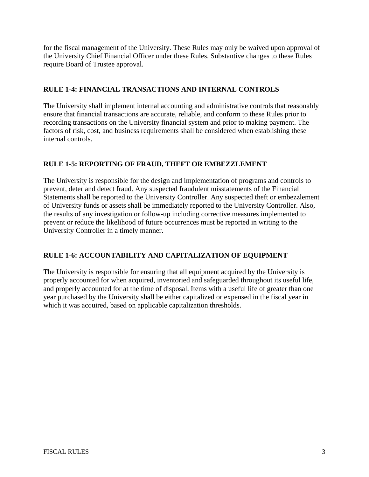for the fiscal management of the University. These Rules may only be waived upon approval of the University Chief Financial Officer under these Rules. Substantive changes to these Rules require Board of Trustee approval.

# **RULE 1-4: FINANCIAL TRANSACTIONS AND INTERNAL CONTROLS**

The University shall implement internal accounting and administrative controls that reasonably ensure that financial transactions are accurate, reliable, and conform to these Rules prior to recording transactions on the University financial system and prior to making payment. The factors of risk, cost, and business requirements shall be considered when establishing these internal controls.

# **RULE 1-5: REPORTING OF FRAUD, THEFT OR EMBEZZLEMENT**

The University is responsible for the design and implementation of programs and controls to prevent, deter and detect fraud. Any suspected fraudulent misstatements of the Financial Statements shall be reported to the University Controller. Any suspected theft or embezzlement of University funds or assets shall be immediately reported to the University Controller. Also, the results of any investigation or follow-up including corrective measures implemented to prevent or reduce the likelihood of future occurrences must be reported in writing to the University Controller in a timely manner.

# **RULE 1-6: ACCOUNTABILITY AND CAPITALIZATION OF EQUIPMENT**

The University is responsible for ensuring that all equipment acquired by the University is properly accounted for when acquired, inventoried and safeguarded throughout its useful life, and properly accounted for at the time of disposal. Items with a useful life of greater than one year purchased by the University shall be either capitalized or expensed in the fiscal year in which it was acquired, based on applicable capitalization thresholds.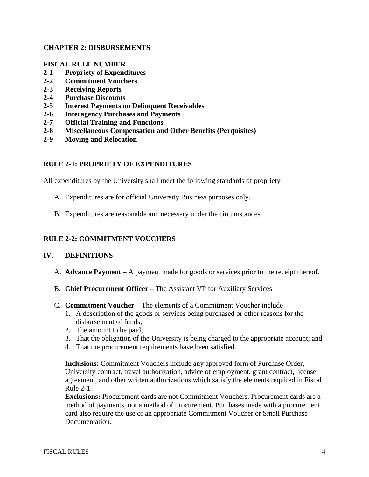### **CHAPTER 2: DISBURSEMENTS**

### **FISCAL RULE NUMBER**

- **2-1 Propriety of Expenditures**
- **2-2 Commitment Vouchers**
- **2-3 Receiving Reports**
- **2-4 Purchase Discounts**
- **2-5 Interest Payments on Delinquent Receivables**
- **2-6 Interagency Purchases and Payments**
- **2-7 Official Training and Functions**
- **2-8 Miscellaneous Compensation and Other Benefits (Perquisites)**
- **2-9 Moving and Relocation**

### **RULE 2-1: PROPRIETY OF EXPENDITURES**

All expenditures by the University shall meet the following standards of propriety

- A. Expenditures are for official University Business purposes only.
- B. Expenditures are reasonable and necessary under the circumstances.

### **RULE 2-2: COMMITMENT VOUCHERS**

#### **IV. DEFINITIONS**

- A. **Advance Payment** A payment made for goods or services prior to the receipt thereof.
- B. **Chief Procurement Officer** The Assistant VP for Auxiliary Services

#### C. **Commitment Voucher** – The elements of a Commitment Voucher include

- 1. A description of the goods or services being purchased or other reasons for the disbursement of funds;
- 2. The amount to be paid;
- 3. That the obligation of the University is being charged to the appropriate account; and
- 4. That the procurement requirements have been satisfied.

**Inclusions:** Commitment Vouchers include any approved form of Purchase Order, University contract, travel authorization, advice of employment, grant contract, license agreement, and other written authorizations which satisfy the elements required in Fiscal Rule 2-1.

**Exclusions:** Procurement cards are not Commitment Vouchers. Procurement cards are a method of payments, not a method of procurement. Purchases made with a procurement card also require the use of an appropriate Commitment Voucher or Small Purchase Documentation.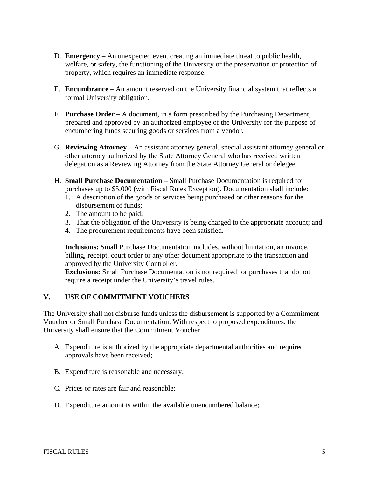- D. **Emergency** An unexpected event creating an immediate threat to public health, welfare, or safety, the functioning of the University or the preservation or protection of property, which requires an immediate response.
- E. **Encumbrance** An amount reserved on the University financial system that reflects a formal University obligation.
- F. **Purchase Order** A document, in a form prescribed by the Purchasing Department, prepared and approved by an authorized employee of the University for the purpose of encumbering funds securing goods or services from a vendor.
- G. **Reviewing Attorney** An assistant attorney general, special assistant attorney general or other attorney authorized by the State Attorney General who has received written delegation as a Reviewing Attorney from the State Attorney General or delegee.
- H. **Small Purchase Documentation** Small Purchase Documentation is required for purchases up to \$5,000 (with Fiscal Rules Exception). Documentation shall include:
	- 1. A description of the goods or services being purchased or other reasons for the disbursement of funds;
	- 2. The amount to be paid;
	- 3. That the obligation of the University is being charged to the appropriate account; and
	- 4. The procurement requirements have been satisfied.

**Inclusions:** Small Purchase Documentation includes, without limitation, an invoice, billing, receipt, court order or any other document appropriate to the transaction and approved by the University Controller.

**Exclusions:** Small Purchase Documentation is not required for purchases that do not require a receipt under the University's travel rules.

## **V. USE OF COMMITMENT VOUCHERS**

The University shall not disburse funds unless the disbursement is supported by a Commitment Voucher or Small Purchase Documentation. With respect to proposed expenditures, the University shall ensure that the Commitment Voucher

- A. Expenditure is authorized by the appropriate departmental authorities and required approvals have been received;
- B. Expenditure is reasonable and necessary;
- C. Prices or rates are fair and reasonable;
- D. Expenditure amount is within the available unencumbered balance;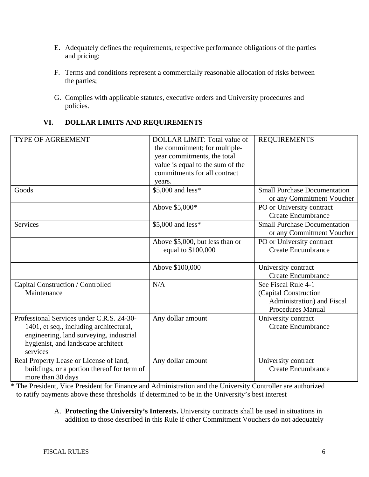- E. Adequately defines the requirements, respective performance obligations of the parties and pricing;
- F. Terms and conditions represent a commercially reasonable allocation of risks between the parties;
- G. Complies with applicable statutes, executive orders and University procedures and policies.

# **VI. DOLLAR LIMITS AND REQUIREMENTS**

| TYPE OF AGREEMENT                                                                                                                                                                 | <b>DOLLAR LIMIT: Total value of</b><br>the commitment; for multiple-<br>year commitments, the total<br>value is equal to the sum of the<br>commitments for all contract<br>years. | <b>REQUIREMENTS</b>                                                                                    |
|-----------------------------------------------------------------------------------------------------------------------------------------------------------------------------------|-----------------------------------------------------------------------------------------------------------------------------------------------------------------------------------|--------------------------------------------------------------------------------------------------------|
| Goods                                                                                                                                                                             | \$5,000 and less*                                                                                                                                                                 | <b>Small Purchase Documentation</b><br>or any Commitment Voucher                                       |
|                                                                                                                                                                                   | Above \$5,000*                                                                                                                                                                    | PO or University contract<br><b>Create Encumbrance</b>                                                 |
| <b>Services</b>                                                                                                                                                                   | \$5,000 and less*                                                                                                                                                                 | <b>Small Purchase Documentation</b><br>or any Commitment Voucher                                       |
|                                                                                                                                                                                   | Above \$5,000, but less than or<br>equal to \$100,000                                                                                                                             | PO or University contract<br><b>Create Encumbrance</b>                                                 |
|                                                                                                                                                                                   | Above \$100,000                                                                                                                                                                   | University contract<br><b>Create Encumbrance</b>                                                       |
| Capital Construction / Controlled<br>Maintenance                                                                                                                                  | N/A                                                                                                                                                                               | See Fiscal Rule 4-1<br>(Capital Construction<br>Administration) and Fiscal<br><b>Procedures Manual</b> |
| Professional Services under C.R.S. 24-30-<br>1401, et seq., including architectural,<br>engineering, land surveying, industrial<br>hygienist, and landscape architect<br>services | Any dollar amount                                                                                                                                                                 | University contract<br><b>Create Encumbrance</b>                                                       |
| Real Property Lease or License of land,<br>buildings, or a portion thereof for term of<br>more than 30 days                                                                       | Any dollar amount                                                                                                                                                                 | University contract<br><b>Create Encumbrance</b>                                                       |

\* The President, Vice President for Finance and Administration and the University Controller are authorized to ratify payments above these thresholds if determined to be in the University's best interest

## A. **Protecting the University's Interests.** University contracts shall be used in situations in addition to those described in this Rule if other Commitment Vouchers do not adequately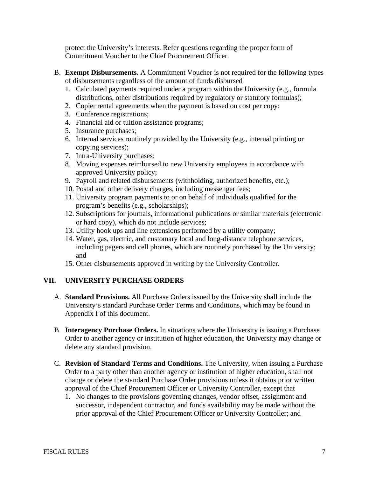protect the University's interests. Refer questions regarding the proper form of Commitment Voucher to the Chief Procurement Officer.

- B. **Exempt Disbursements.** A Commitment Voucher is not required for the following types of disbursements regardless of the amount of funds disbursed
	- 1. Calculated payments required under a program within the University (e.g., formula distributions, other distributions required by regulatory or statutory formulas);
	- 2. Copier rental agreements when the payment is based on cost per copy;
	- 3. Conference registrations;
	- 4. Financial aid or tuition assistance programs;
	- 5. Insurance purchases;
	- 6. Internal services routinely provided by the University (e.g., internal printing or copying services);
	- 7. Intra-University purchases;
	- 8. Moving expenses reimbursed to new University employees in accordance with approved University policy;
	- 9. Payroll and related disbursements (withholding, authorized benefits, etc.);
	- 10. Postal and other delivery charges, including messenger fees;
	- 11. University program payments to or on behalf of individuals qualified for the program's benefits (e.g., scholarships);
	- 12. Subscriptions for journals, informational publications or similar materials (electronic or hard copy), which do not include services;
	- 13. Utility hook ups and line extensions performed by a utility company;
	- 14. Water, gas, electric, and customary local and long-distance telephone services, including pagers and cell phones, which are routinely purchased by the University; and
	- 15. Other disbursements approved in writing by the University Controller.

## **VII. UNIVERSITY PURCHASE ORDERS**

- A. **Standard Provisions.** All Purchase Orders issued by the University shall include the University's standard Purchase Order Terms and Conditions, which may be found in Appendix I of this document.
- B. **Interagency Purchase Orders.** In situations where the University is issuing a Purchase Order to another agency or institution of higher education, the University may change or delete any standard provision.
- C. **Revision of Standard Terms and Conditions.** The University, when issuing a Purchase Order to a party other than another agency or institution of higher education, shall not change or delete the standard Purchase Order provisions unless it obtains prior written approval of the Chief Procurement Officer or University Controller, except that
	- 1. No changes to the provisions governing changes, vendor offset, assignment and successor, independent contractor, and funds availability may be made without the prior approval of the Chief Procurement Officer or University Controller; and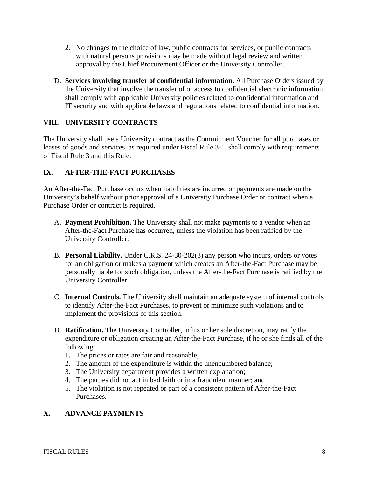- 2. No changes to the choice of law, public contracts for services, or public contracts with natural persons provisions may be made without legal review and written approval by the Chief Procurement Officer or the University Controller.
- D. **Services involving transfer of confidential information.** All Purchase Orders issued by the University that involve the transfer of or access to confidential electronic information shall comply with applicable University policies related to confidential information and IT security and with applicable laws and regulations related to confidential information.

# **VIII. UNIVERSITY CONTRACTS**

The University shall use a University contract as the Commitment Voucher for all purchases or leases of goods and services, as required under Fiscal Rule 3-1, shall comply with requirements of Fiscal Rule 3 and this Rule.

## **IX. AFTER-THE-FACT PURCHASES**

An After-the-Fact Purchase occurs when liabilities are incurred or payments are made on the University's behalf without prior approval of a University Purchase Order or contract when a Purchase Order or contract is required.

- A. **Payment Prohibition.** The University shall not make payments to a vendor when an After-the-Fact Purchase has occurred, unless the violation has been ratified by the University Controller.
- B. **Personal Liability.** Under C.R.S. 24-30-202(3) any person who incurs, orders or votes for an obligation or makes a payment which creates an After-the-Fact Purchase may be personally liable for such obligation, unless the After-the-Fact Purchase is ratified by the University Controller.
- C. **Internal Controls.** The University shall maintain an adequate system of internal controls to identify After-the-Fact Purchases, to prevent or minimize such violations and to implement the provisions of this section.
- D. **Ratification.** The University Controller, in his or her sole discretion, may ratify the expenditure or obligation creating an After-the-Fact Purchase, if he or she finds all of the following
	- 1. The prices or rates are fair and reasonable;
	- 2. The amount of the expenditure is within the unencumbered balance;
	- 3. The University department provides a written explanation;
	- 4. The parties did not act in bad faith or in a fraudulent manner; and
	- 5. The violation is not repeated or part of a consistent pattern of After-the-Fact Purchases.

## **X. ADVANCE PAYMENTS**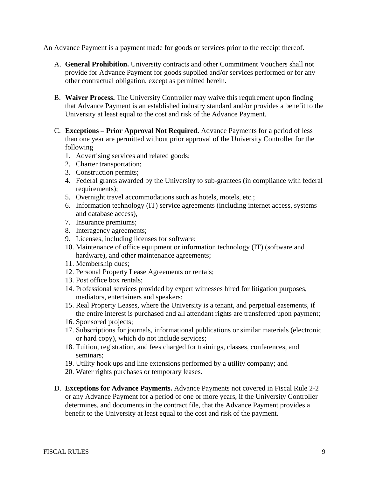An Advance Payment is a payment made for goods or services prior to the receipt thereof.

- A. **General Prohibition.** University contracts and other Commitment Vouchers shall not provide for Advance Payment for goods supplied and/or services performed or for any other contractual obligation, except as permitted herein.
- B. **Waiver Process.** The University Controller may waive this requirement upon finding that Advance Payment is an established industry standard and/or provides a benefit to the University at least equal to the cost and risk of the Advance Payment.
- C. **Exceptions Prior Approval Not Required.** Advance Payments for a period of less than one year are permitted without prior approval of the University Controller for the following
	- 1. Advertising services and related goods;
	- 2. Charter transportation;
	- 3. Construction permits;
	- 4. Federal grants awarded by the University to sub-grantees (in compliance with federal requirements);
	- 5. Overnight travel accommodations such as hotels, motels, etc.;
	- 6. Information technology (IT) service agreements (including internet access, systems and database access),
	- 7. Insurance premiums;
	- 8. Interagency agreements;
	- 9. Licenses, including licenses for software;
	- 10. Maintenance of office equipment or information technology (IT) (software and hardware), and other maintenance agreements;
	- 11. Membership dues;
	- 12. Personal Property Lease Agreements or rentals;
	- 13. Post office box rentals;
	- 14. Professional services provided by expert witnesses hired for litigation purposes, mediators, entertainers and speakers;
	- 15. Real Property Leases, where the University is a tenant, and perpetual easements, if the entire interest is purchased and all attendant rights are transferred upon payment;
	- 16. Sponsored projects;
	- 17. Subscriptions for journals, informational publications or similar materials (electronic or hard copy), which do not include services;
	- 18. Tuition, registration, and fees charged for trainings, classes, conferences, and seminars;
	- 19. Utility hook ups and line extensions performed by a utility company; and
	- 20. Water rights purchases or temporary leases.
- D. **Exceptions for Advance Payments.** Advance Payments not covered in Fiscal Rule 2-2 or any Advance Payment for a period of one or more years, if the University Controller determines, and documents in the contract file, that the Advance Payment provides a benefit to the University at least equal to the cost and risk of the payment.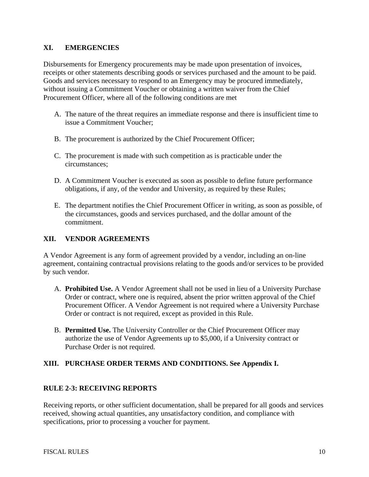### **XI. EMERGENCIES**

Disbursements for Emergency procurements may be made upon presentation of invoices, receipts or other statements describing goods or services purchased and the amount to be paid. Goods and services necessary to respond to an Emergency may be procured immediately, without issuing a Commitment Voucher or obtaining a written waiver from the Chief Procurement Officer, where all of the following conditions are met

- A. The nature of the threat requires an immediate response and there is insufficient time to issue a Commitment Voucher;
- B. The procurement is authorized by the Chief Procurement Officer;
- C. The procurement is made with such competition as is practicable under the circumstances;
- D. A Commitment Voucher is executed as soon as possible to define future performance obligations, if any, of the vendor and University, as required by these Rules;
- E. The department notifies the Chief Procurement Officer in writing, as soon as possible, of the circumstances, goods and services purchased, and the dollar amount of the commitment.

# **XII. VENDOR AGREEMENTS**

A Vendor Agreement is any form of agreement provided by a vendor, including an on-line agreement, containing contractual provisions relating to the goods and/or services to be provided by such vendor.

- A. **Prohibited Use.** A Vendor Agreement shall not be used in lieu of a University Purchase Order or contract, where one is required, absent the prior written approval of the Chief Procurement Officer. A Vendor Agreement is not required where a University Purchase Order or contract is not required, except as provided in this Rule.
- B. **Permitted Use.** The University Controller or the Chief Procurement Officer may authorize the use of Vendor Agreements up to \$5,000, if a University contract or Purchase Order is not required.

## **XIII. PURCHASE ORDER TERMS AND CONDITIONS. See Appendix I.**

#### **RULE 2-3: RECEIVING REPORTS**

Receiving reports, or other sufficient documentation, shall be prepared for all goods and services received, showing actual quantities, any unsatisfactory condition, and compliance with specifications, prior to processing a voucher for payment.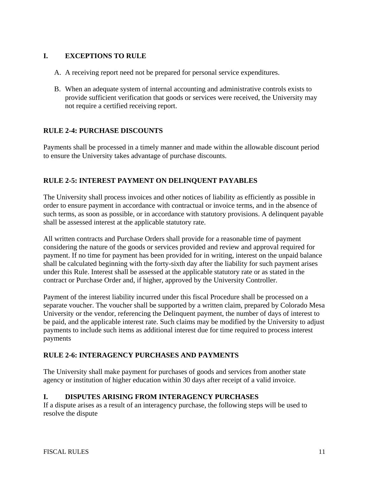# **I. EXCEPTIONS TO RULE**

- A. A receiving report need not be prepared for personal service expenditures.
- B. When an adequate system of internal accounting and administrative controls exists to provide sufficient verification that goods or services were received, the University may not require a certified receiving report.

# **RULE 2-4: PURCHASE DISCOUNTS**

Payments shall be processed in a timely manner and made within the allowable discount period to ensure the University takes advantage of purchase discounts.

# **RULE 2-5: INTEREST PAYMENT ON DELINQUENT PAYABLES**

The University shall process invoices and other notices of liability as efficiently as possible in order to ensure payment in accordance with contractual or invoice terms, and in the absence of such terms, as soon as possible, or in accordance with statutory provisions. A delinquent payable shall be assessed interest at the applicable statutory rate.

All written contracts and Purchase Orders shall provide for a reasonable time of payment considering the nature of the goods or services provided and review and approval required for payment. If no time for payment has been provided for in writing, interest on the unpaid balance shall be calculated beginning with the forty-sixth day after the liability for such payment arises under this Rule. Interest shall be assessed at the applicable statutory rate or as stated in the contract or Purchase Order and, if higher, approved by the University Controller.

Payment of the interest liability incurred under this fiscal Procedure shall be processed on a separate voucher. The voucher shall be supported by a written claim, prepared by Colorado Mesa University or the vendor, referencing the Delinquent payment, the number of days of interest to be paid, and the applicable interest rate. Such claims may be modified by the University to adjust payments to include such items as additional interest due for time required to process interest payments

## **RULE 2-6: INTERAGENCY PURCHASES AND PAYMENTS**

The University shall make payment for purchases of goods and services from another state agency or institution of higher education within 30 days after receipt of a valid invoice.

#### **I. DISPUTES ARISING FROM INTERAGENCY PURCHASES**

If a dispute arises as a result of an interagency purchase, the following steps will be used to resolve the dispute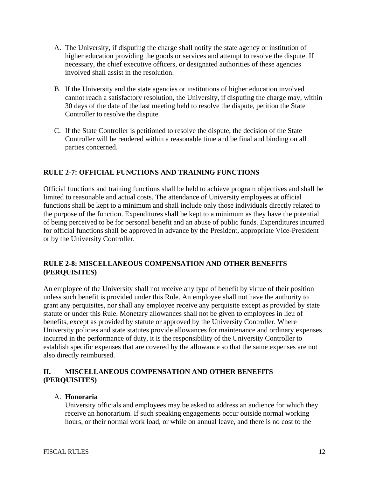- A. The University, if disputing the charge shall notify the state agency or institution of higher education providing the goods or services and attempt to resolve the dispute. If necessary, the chief executive officers, or designated authorities of these agencies involved shall assist in the resolution.
- B. If the University and the state agencies or institutions of higher education involved cannot reach a satisfactory resolution, the University, if disputing the charge may, within 30 days of the date of the last meeting held to resolve the dispute, petition the State Controller to resolve the dispute.
- C. If the State Controller is petitioned to resolve the dispute, the decision of the State Controller will be rendered within a reasonable time and be final and binding on all parties concerned.

# **RULE 2-7: OFFICIAL FUNCTIONS AND TRAINING FUNCTIONS**

Official functions and training functions shall be held to achieve program objectives and shall be limited to reasonable and actual costs. The attendance of University employees at official functions shall be kept to a minimum and shall include only those individuals directly related to the purpose of the function. Expenditures shall be kept to a minimum as they have the potential of being perceived to be for personal benefit and an abuse of public funds. Expenditures incurred for official functions shall be approved in advance by the President, appropriate Vice-President or by the University Controller.

## **RULE 2-8: MISCELLANEOUS COMPENSATION AND OTHER BENEFITS (PERQUISITES)**

An employee of the University shall not receive any type of benefit by virtue of their position unless such benefit is provided under this Rule. An employee shall not have the authority to grant any perquisites, nor shall any employee receive any perquisite except as provided by state statute or under this Rule. Monetary allowances shall not be given to employees in lieu of benefits, except as provided by statute or approved by the University Controller. Where University policies and state statutes provide allowances for maintenance and ordinary expenses incurred in the performance of duty, it is the responsibility of the University Controller to establish specific expenses that are covered by the allowance so that the same expenses are not also directly reimbursed.

## **II. MISCELLANEOUS COMPENSATION AND OTHER BENEFITS (PERQUISITES)**

## A. **Honoraria**

University officials and employees may be asked to address an audience for which they receive an honorarium. If such speaking engagements occur outside normal working hours, or their normal work load, or while on annual leave, and there is no cost to the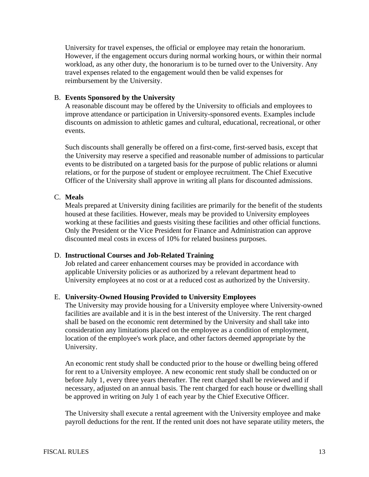University for travel expenses, the official or employee may retain the honorarium. However, if the engagement occurs during normal working hours, or within their normal workload, as any other duty, the honorarium is to be turned over to the University. Any travel expenses related to the engagement would then be valid expenses for reimbursement by the University.

#### B. **Events Sponsored by the University**

A reasonable discount may be offered by the University to officials and employees to improve attendance or participation in University-sponsored events. Examples include discounts on admission to athletic games and cultural, educational, recreational, or other events.

Such discounts shall generally be offered on a first-come, first-served basis, except that the University may reserve a specified and reasonable number of admissions to particular events to be distributed on a targeted basis for the purpose of public relations or alumni relations, or for the purpose of student or employee recruitment. The Chief Executive Officer of the University shall approve in writing all plans for discounted admissions.

# C. **Meals**

Meals prepared at University dining facilities are primarily for the benefit of the students housed at these facilities. However, meals may be provided to University employees working at these facilities and guests visiting these facilities and other official functions. Only the President or the Vice President for Finance and Administration can approve discounted meal costs in excess of 10% for related business purposes.

#### D. **Instructional Courses and Job-Related Training**

Job related and career enhancement courses may be provided in accordance with applicable University policies or as authorized by a relevant department head to University employees at no cost or at a reduced cost as authorized by the University.

#### E. **University-Owned Housing Provided to University Employees**

The University may provide housing for a University employee where University-owned facilities are available and it is in the best interest of the University. The rent charged shall be based on the economic rent determined by the University and shall take into consideration any limitations placed on the employee as a condition of employment, location of the employee's work place, and other factors deemed appropriate by the University.

An economic rent study shall be conducted prior to the house or dwelling being offered for rent to a University employee. A new economic rent study shall be conducted on or before July 1, every three years thereafter. The rent charged shall be reviewed and if necessary, adjusted on an annual basis. The rent charged for each house or dwelling shall be approved in writing on July 1 of each year by the Chief Executive Officer.

The University shall execute a rental agreement with the University employee and make payroll deductions for the rent. If the rented unit does not have separate utility meters, the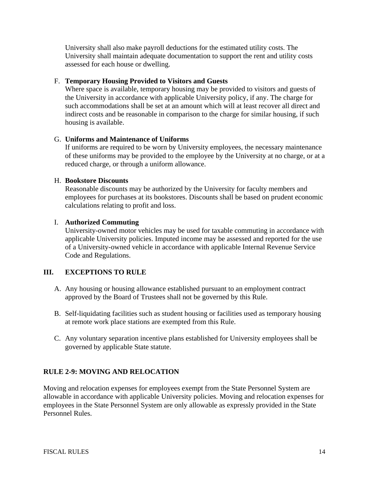University shall also make payroll deductions for the estimated utility costs. The University shall maintain adequate documentation to support the rent and utility costs assessed for each house or dwelling.

### F. **Temporary Housing Provided to Visitors and Guests**

Where space is available, temporary housing may be provided to visitors and guests of the University in accordance with applicable University policy, if any. The charge for such accommodations shall be set at an amount which will at least recover all direct and indirect costs and be reasonable in comparison to the charge for similar housing, if such housing is available.

### G. **Uniforms and Maintenance of Uniforms**

If uniforms are required to be worn by University employees, the necessary maintenance of these uniforms may be provided to the employee by the University at no charge, or at a reduced charge, or through a uniform allowance.

#### H. **Bookstore Discounts**

Reasonable discounts may be authorized by the University for faculty members and employees for purchases at its bookstores. Discounts shall be based on prudent economic calculations relating to profit and loss.

### I. **Authorized Commuting**

University-owned motor vehicles may be used for taxable commuting in accordance with applicable University policies. Imputed income may be assessed and reported for the use of a University-owned vehicle in accordance with applicable Internal Revenue Service Code and Regulations.

## **III. EXCEPTIONS TO RULE**

- A. Any housing or housing allowance established pursuant to an employment contract approved by the Board of Trustees shall not be governed by this Rule.
- B. Self-liquidating facilities such as student housing or facilities used as temporary housing at remote work place stations are exempted from this Rule.
- C. Any voluntary separation incentive plans established for University employees shall be governed by applicable State statute.

## **RULE 2-9: MOVING AND RELOCATION**

Moving and relocation expenses for employees exempt from the State Personnel System are allowable in accordance with applicable University policies. Moving and relocation expenses for employees in the State Personnel System are only allowable as expressly provided in the State Personnel Rules.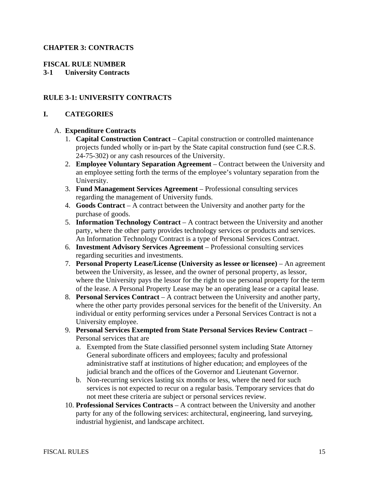## **CHAPTER 3: CONTRACTS**

### **FISCAL RULE NUMBER**

### **3-1 University Contracts**

### **RULE 3-1: UNIVERSITY CONTRACTS**

#### **I. CATEGORIES**

#### A. **Expenditure Contracts**

- 1. **Capital Construction Contract** Capital construction or controlled maintenance projects funded wholly or in-part by the State capital construction fund (see C.R.S. 24-75-302) or any cash resources of the University.
- 2. **Employee Voluntary Separation Agreement** Contract between the University and an employee setting forth the terms of the employee's voluntary separation from the University.
- 3. **Fund Management Services Agreement** Professional consulting services regarding the management of University funds.
- 4. **Goods Contract** A contract between the University and another party for the purchase of goods.
- 5. **Information Technology Contract** A contract between the University and another party, where the other party provides technology services or products and services. An Information Technology Contract is a type of Personal Services Contract.
- 6. **Investment Advisory Services Agreement** Professional consulting services regarding securities and investments.
- 7. **Personal Property Lease/License (University as lessee or licensee)**  An agreement between the University, as lessee, and the owner of personal property, as lessor, where the University pays the lessor for the right to use personal property for the term of the lease. A Personal Property Lease may be an operating lease or a capital lease.
- 8. **Personal Services Contract** A contract between the University and another party, where the other party provides personal services for the benefit of the University. An individual or entity performing services under a Personal Services Contract is not a University employee.
- 9. **Personal Services Exempted from State Personal Services Review Contract** Personal services that are
	- a. Exempted from the State classified personnel system including State Attorney General subordinate officers and employees; faculty and professional administrative staff at institutions of higher education; and employees of the judicial branch and the offices of the Governor and Lieutenant Governor.
	- b. Non-recurring services lasting six months or less, where the need for such services is not expected to recur on a regular basis. Temporary services that do not meet these criteria are subject or personal services review.
- 10. **Professional Services Contracts** A contract between the University and another party for any of the following services: architectural, engineering, land surveying, industrial hygienist, and landscape architect.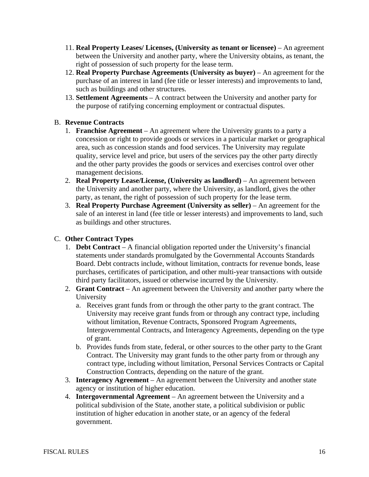- 11. **Real Property Leases/ Licenses, (University as tenant or licensee)** An agreement between the University and another party, where the University obtains, as tenant, the right of possession of such property for the lease term.
- 12. **Real Property Purchase Agreements (University as buyer)** An agreement for the purchase of an interest in land (fee title or lesser interests) and improvements to land, such as buildings and other structures.
- 13. **Settlement Agreements** A contract between the University and another party for the purpose of ratifying concerning employment or contractual disputes.

# B. **Revenue Contracts**

- 1. **Franchise Agreement**  An agreement where the University grants to a party a concession or right to provide goods or services in a particular market or geographical area, such as concession stands and food services. The University may regulate quality, service level and price, but users of the services pay the other party directly and the other party provides the goods or services and exercises control over other management decisions.
- 2. **Real Property Lease/License, (University as landlord)** An agreement between the University and another party, where the University, as landlord, gives the other party, as tenant, the right of possession of such property for the lease term.
- 3. **Real Property Purchase Agreement (University as seller)** An agreement for the sale of an interest in land (fee title or lesser interests) and improvements to land, such as buildings and other structures.

# C. **Other Contract Types**

- 1. **Debt Contract** A financial obligation reported under the University's financial statements under standards promulgated by the Governmental Accounts Standards Board. Debt contracts include, without limitation, contracts for revenue bonds, lease purchases, certificates of participation, and other multi-year transactions with outside third party facilitators, issued or otherwise incurred by the University.
- 2. **Grant Contract** An agreement between the University and another party where the University
	- a. Receives grant funds from or through the other party to the grant contract. The University may receive grant funds from or through any contract type, including without limitation, Revenue Contracts, Sponsored Program Agreements, Intergovernmental Contracts, and Interagency Agreements, depending on the type of grant.
	- b. Provides funds from state, federal, or other sources to the other party to the Grant Contract. The University may grant funds to the other party from or through any contract type, including without limitation, Personal Services Contracts or Capital Construction Contracts, depending on the nature of the grant.
- 3. **Interagency Agreement** An agreement between the University and another state agency or institution of higher education.
- 4. **Intergovernmental Agreement** An agreement between the University and a political subdivision of the State, another state, a political subdivision or public institution of higher education in another state, or an agency of the federal government.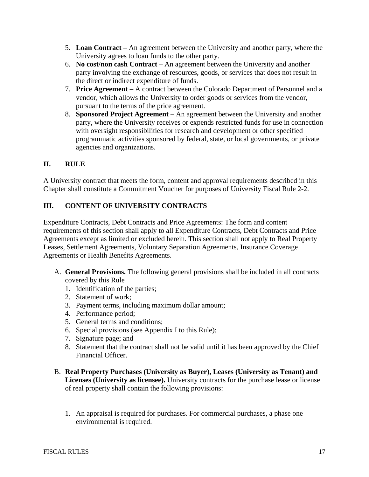- 5. **Loan Contract** An agreement between the University and another party, where the University agrees to loan funds to the other party.
- 6. **No cost/non cash Contract** An agreement between the University and another party involving the exchange of resources, goods, or services that does not result in the direct or indirect expenditure of funds.
- 7. **Price Agreement** A contract between the Colorado Department of Personnel and a vendor, which allows the University to order goods or services from the vendor, pursuant to the terms of the price agreement.
- 8. **Sponsored Project Agreement** An agreement between the University and another party, where the University receives or expends restricted funds for use in connection with oversight responsibilities for research and development or other specified programmatic activities sponsored by federal, state, or local governments, or private agencies and organizations.

# **II. RULE**

A University contract that meets the form, content and approval requirements described in this Chapter shall constitute a Commitment Voucher for purposes of University Fiscal Rule 2-2.

# **III. CONTENT OF UNIVERSITY CONTRACTS**

Expenditure Contracts, Debt Contracts and Price Agreements: The form and content requirements of this section shall apply to all Expenditure Contracts, Debt Contracts and Price Agreements except as limited or excluded herein. This section shall not apply to Real Property Leases, Settlement Agreements, Voluntary Separation Agreements, Insurance Coverage Agreements or Health Benefits Agreements.

- A. **General Provisions.** The following general provisions shall be included in all contracts covered by this Rule
	- 1. Identification of the parties;
	- 2. Statement of work;
	- 3. Payment terms, including maximum dollar amount;
	- 4. Performance period;
	- 5. General terms and conditions;
	- 6. Special provisions (see Appendix I to this Rule);
	- 7. Signature page; and
	- 8. Statement that the contract shall not be valid until it has been approved by the Chief Financial Officer.
- B. **Real Property Purchases (University as Buyer), Leases (University as Tenant) and Licenses (University as licensee).** University contracts for the purchase lease or license of real property shall contain the following provisions:
	- 1. An appraisal is required for purchases. For commercial purchases, a phase one environmental is required.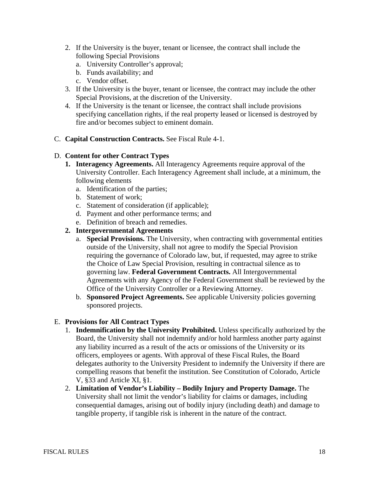- 2. If the University is the buyer, tenant or licensee, the contract shall include the following Special Provisions
	- a. University Controller's approval;
	- b. Funds availability; and
	- c. Vendor offset.
- 3. If the University is the buyer, tenant or licensee, the contract may include the other Special Provisions, at the discretion of the University.
- 4. If the University is the tenant or licensee, the contract shall include provisions specifying cancellation rights, if the real property leased or licensed is destroyed by fire and/or becomes subject to eminent domain.
- C. **Capital Construction Contracts.** See Fiscal Rule 4-1.

#### D. **Content for other Contract Types**

- **1. Interagency Agreements.** All Interagency Agreements require approval of the University Controller. Each Interagency Agreement shall include, at a minimum, the following elements
	- a. Identification of the parties;
	- b. Statement of work;
	- c. Statement of consideration (if applicable);
	- d. Payment and other performance terms; and
	- e. Definition of breach and remedies.

#### **2. Intergovernmental Agreements**

- a. **Special Provisions.** The University, when contracting with governmental entities outside of the University, shall not agree to modify the Special Provision requiring the governance of Colorado law, but, if requested, may agree to strike the Choice of Law Special Provision, resulting in contractual silence as to governing law. **Federal Government Contracts.** All Intergovernmental Agreements with any Agency of the Federal Government shall be reviewed by the Office of the University Controller or a Reviewing Attorney.
- b. **Sponsored Project Agreements.** See applicable University policies governing sponsored projects.

#### E. **Provisions for All Contract Types**

- 1. **Indemnification by the University Prohibited.** Unless specifically authorized by the Board, the University shall not indemnify and/or hold harmless another party against any liability incurred as a result of the acts or omissions of the University or its officers, employees or agents. With approval of these Fiscal Rules, the Board delegates authority to the University President to indemnify the University if there are compelling reasons that benefit the institution. See Constitution of Colorado, Article V, §33 and Article XI, §1.
- 2. **Limitation of Vendor's Liability Bodily Injury and Property Damage.** The University shall not limit the vendor's liability for claims or damages, including consequential damages, arising out of bodily injury (including death) and damage to tangible property, if tangible risk is inherent in the nature of the contract.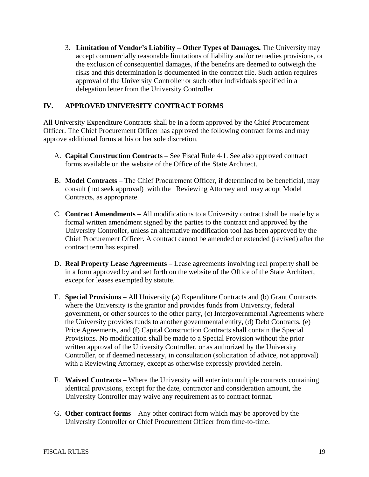3. **Limitation of Vendor's Liability – Other Types of Damages.** The University may accept commercially reasonable limitations of liability and/or remedies provisions, or the exclusion of consequential damages, if the benefits are deemed to outweigh the risks and this determination is documented in the contract file. Such action requires approval of the University Controller or such other individuals specified in a delegation letter from the University Controller.

# **IV. APPROVED UNIVERSITY CONTRACT FORMS**

All University Expenditure Contracts shall be in a form approved by the Chief Procurement Officer. The Chief Procurement Officer has approved the following contract forms and may approve additional forms at his or her sole discretion.

- A. **Capital Construction Contracts** See Fiscal Rule 4-1. See also approved contract forms available on the website of the Office of the State Architect.
- B. **Model Contracts** The Chief Procurement Officer, if determined to be beneficial, may consult (not seek approval) with the Reviewing Attorney and may adopt Model Contracts, as appropriate.
- C. **Contract Amendments** All modifications to a University contract shall be made by a formal written amendment signed by the parties to the contract and approved by the University Controller, unless an alternative modification tool has been approved by the Chief Procurement Officer. A contract cannot be amended or extended (revived) after the contract term has expired.
- D. **Real Property Lease Agreements** Lease agreements involving real property shall be in a form approved by and set forth on the website of the Office of the State Architect, except for leases exempted by statute.
- E. **Special Provisions** All University (a) Expenditure Contracts and (b) Grant Contracts where the University is the grantor and provides funds from University, federal government, or other sources to the other party, (c) Intergovernmental Agreements where the University provides funds to another governmental entity, (d) Debt Contracts, (e) Price Agreements, and (f) Capital Construction Contracts shall contain the Special Provisions. No modification shall be made to a Special Provision without the prior written approval of the University Controller, or as authorized by the University Controller, or if deemed necessary, in consultation (solicitation of advice, not approval) with a Reviewing Attorney, except as otherwise expressly provided herein.
- F. **Waived Contracts** Where the University will enter into multiple contracts containing identical provisions, except for the date, contractor and consideration amount, the University Controller may waive any requirement as to contract format.
- G. **Other contract forms** Any other contract form which may be approved by the University Controller or Chief Procurement Officer from time-to-time.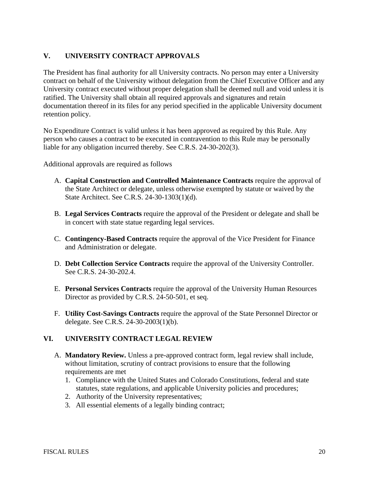# **V. UNIVERSITY CONTRACT APPROVALS**

The President has final authority for all University contracts. No person may enter a University contract on behalf of the University without delegation from the Chief Executive Officer and any University contract executed without proper delegation shall be deemed null and void unless it is ratified. The University shall obtain all required approvals and signatures and retain documentation thereof in its files for any period specified in the applicable University document retention policy.

No Expenditure Contract is valid unless it has been approved as required by this Rule. Any person who causes a contract to be executed in contravention to this Rule may be personally liable for any obligation incurred thereby. See C.R.S. 24-30-202(3).

Additional approvals are required as follows

- A. **Capital Construction and Controlled Maintenance Contracts** require the approval of the State Architect or delegate, unless otherwise exempted by statute or waived by the State Architect. See C.R.S. 24-30-1303(1)(d).
- B. **Legal Services Contracts** require the approval of the President or delegate and shall be in concert with state statue regarding legal services.
- C. **Contingency-Based Contracts** require the approval of the Vice President for Finance and Administration or delegate.
- D. **Debt Collection Service Contracts** require the approval of the University Controller. See C.R.S. 24-30-202.4.
- E. **Personal Services Contracts** require the approval of the University Human Resources Director as provided by C.R.S. 24-50-501, et seq.
- F. **Utility Cost-Savings Contracts** require the approval of the State Personnel Director or delegate. See C.R.S. 24-30-2003(1)(b).

## **VI. UNIVERSITY CONTRACT LEGAL REVIEW**

- A. **Mandatory Review.** Unless a pre-approved contract form, legal review shall include, without limitation, scrutiny of contract provisions to ensure that the following requirements are met
	- 1. Compliance with the United States and Colorado Constitutions, federal and state statutes, state regulations, and applicable University policies and procedures;
	- 2. Authority of the University representatives;
	- 3. All essential elements of a legally binding contract;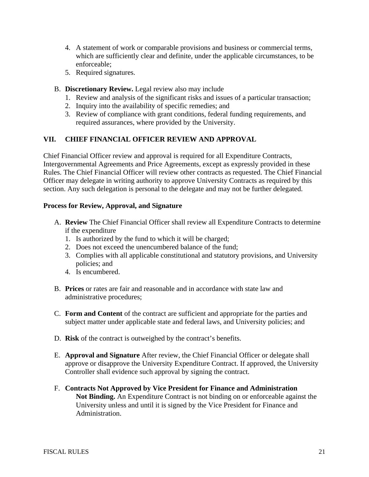- 4. A statement of work or comparable provisions and business or commercial terms, which are sufficiently clear and definite, under the applicable circumstances, to be enforceable;
- 5. Required signatures.
- B. **Discretionary Review.** Legal review also may include
	- 1. Review and analysis of the significant risks and issues of a particular transaction;
	- 2. Inquiry into the availability of specific remedies; and
	- 3. Review of compliance with grant conditions, federal funding requirements, and required assurances, where provided by the University.

## **VII. CHIEF FINANCIAL OFFICER REVIEW AND APPROVAL**

Chief Financial Officer review and approval is required for all Expenditure Contracts, Intergovernmental Agreements and Price Agreements, except as expressly provided in these Rules. The Chief Financial Officer will review other contracts as requested. The Chief Financial Officer may delegate in writing authority to approve University Contracts as required by this section. Any such delegation is personal to the delegate and may not be further delegated.

#### **Process for Review, Approval, and Signature**

- A. **Review** The Chief Financial Officer shall review all Expenditure Contracts to determine if the expenditure
	- 1. Is authorized by the fund to which it will be charged;
	- 2. Does not exceed the unencumbered balance of the fund;
	- 3. Complies with all applicable constitutional and statutory provisions, and University policies; and
	- 4. Is encumbered.
- B. **Prices** or rates are fair and reasonable and in accordance with state law and administrative procedures;
- C. **Form and Content** of the contract are sufficient and appropriate for the parties and subject matter under applicable state and federal laws, and University policies; and
- D. **Risk** of the contract is outweighed by the contract's benefits.
- E. **Approval and Signature** After review, the Chief Financial Officer or delegate shall approve or disapprove the University Expenditure Contract. If approved, the University Controller shall evidence such approval by signing the contract.
- F. **Contracts Not Approved by Vice President for Finance and Administration Not Binding.** An Expenditure Contract is not binding on or enforceable against the University unless and until it is signed by the Vice President for Finance and Administration.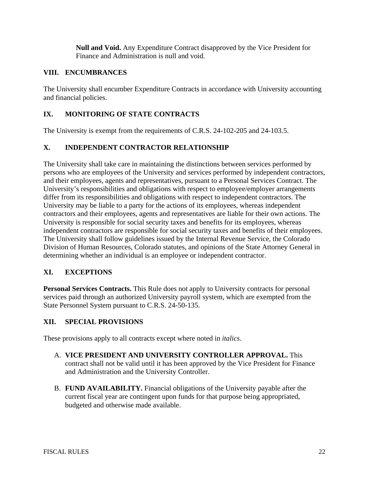**Null and Void.** Any Expenditure Contract disapproved by the Vice President for Finance and Administration is null and void.

## **VIII. ENCUMBRANCES**

The University shall encumber Expenditure Contracts in accordance with University accounting and financial policies.

# **IX. MONITORING OF STATE CONTRACTS**

The University is exempt from the requirements of C.R.S. 24-102-205 and 24-103.5.

## **X. INDEPENDENT CONTRACTOR RELATIONSHIP**

The University shall take care in maintaining the distinctions between services performed by persons who are employees of the University and services performed by independent contractors, and their employees, agents and representatives, pursuant to a Personal Services Contract. The University's responsibilities and obligations with respect to employee/employer arrangements differ from its responsibilities and obligations with respect to independent contractors. The University may be liable to a party for the actions of its employees, whereas independent contractors and their employees, agents and representatives are liable for their own actions. The University is responsible for social security taxes and benefits for its employees, whereas independent contractors are responsible for social security taxes and benefits of their employees. The University shall follow guidelines issued by the Internal Revenue Service, the Colorado Division of Human Resources, Colorado statutes, and opinions of the State Attorney General in determining whether an individual is an employee or independent contractor.

## **XI. EXCEPTIONS**

**Personal Services Contracts.** This Rule does not apply to University contracts for personal services paid through an authorized University payroll system, which are exempted from the State Personnel System pursuant to C.R.S. 24-50-135.

## **XII. SPECIAL PROVISIONS**

These provisions apply to all contracts except where noted in *italics*.

- A. **VICE PRESIDENT AND UNIVERSITY CONTROLLER APPROVAL.** This contract shall not be valid until it has been approved by the Vice President for Finance and Administration and the University Controller.
- B. **FUND AVAILABILITY.** Financial obligations of the University payable after the current fiscal year are contingent upon funds for that purpose being appropriated, budgeted and otherwise made available.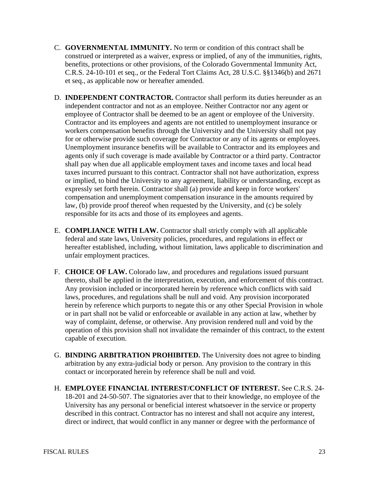- C. **GOVERNMENTAL IMMUNITY.** No term or condition of this contract shall be construed or interpreted as a waiver, express or implied, of any of the immunities, rights, benefits, protections or other provisions, of the Colorado Governmental Immunity Act, C.R.S. 24-10-101 et seq., or the Federal Tort Claims Act, 28 U.S.C. §§1346(b) and 2671 et seq., as applicable now or hereafter amended.
- D. **INDEPENDENT CONTRACTOR.** Contractor shall perform its duties hereunder as an independent contractor and not as an employee. Neither Contractor nor any agent or employee of Contractor shall be deemed to be an agent or employee of the University. Contractor and its employees and agents are not entitled to unemployment insurance or workers compensation benefits through the University and the University shall not pay for or otherwise provide such coverage for Contractor or any of its agents or employees. Unemployment insurance benefits will be available to Contractor and its employees and agents only if such coverage is made available by Contractor or a third party. Contractor shall pay when due all applicable employment taxes and income taxes and local head taxes incurred pursuant to this contract. Contractor shall not have authorization, express or implied, to bind the University to any agreement, liability or understanding, except as expressly set forth herein. Contractor shall (a) provide and keep in force workers' compensation and unemployment compensation insurance in the amounts required by law, (b) provide proof thereof when requested by the University, and (c) be solely responsible for its acts and those of its employees and agents.
- E. **COMPLIANCE WITH LAW.** Contractor shall strictly comply with all applicable federal and state laws, University policies, procedures, and regulations in effect or hereafter established, including, without limitation, laws applicable to discrimination and unfair employment practices.
- F. **CHOICE OF LAW.** Colorado law, and procedures and regulations issued pursuant thereto, shall be applied in the interpretation, execution, and enforcement of this contract. Any provision included or incorporated herein by reference which conflicts with said laws, procedures, and regulations shall be null and void. Any provision incorporated herein by reference which purports to negate this or any other Special Provision in whole or in part shall not be valid or enforceable or available in any action at law, whether by way of complaint, defense, or otherwise. Any provision rendered null and void by the operation of this provision shall not invalidate the remainder of this contract, to the extent capable of execution.
- G. **BINDING ARBITRATION PROHIBITED.** The University does not agree to binding arbitration by any extra-judicial body or person. Any provision to the contrary in this contact or incorporated herein by reference shall be null and void.
- H. **EMPLOYEE FINANCIAL INTEREST/CONFLICT OF INTEREST.** See C.R.S. 24- 18-201 and 24-50-507. The signatories aver that to their knowledge, no employee of the University has any personal or beneficial interest whatsoever in the service or property described in this contract. Contractor has no interest and shall not acquire any interest, direct or indirect, that would conflict in any manner or degree with the performance of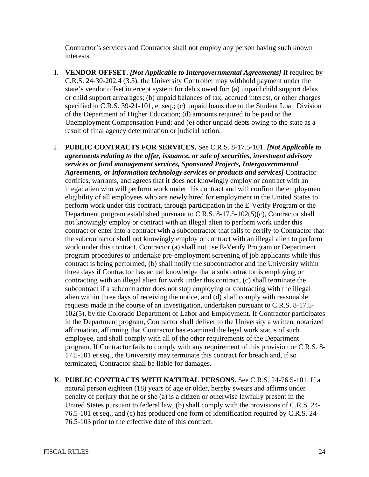Contractor's services and Contractor shall not employ any person having such known interests.

- I. **VENDOR OFFSET.** *[Not Applicable to Intergovernmental Agreements]* If required by C.R.S. 24-30-202.4 (3.5), the University Controller may withhold payment under the state's vendor offset intercept system for debts owed for: (a) unpaid child support debts or child support arrearages; (b) unpaid balances of tax, accrued interest, or other charges specified in C.R.S. 39-21-101, et seq.; (c) unpaid loans due to the Student Loan Division of the Department of Higher Education; (d) amounts required to be paid to the Unemployment Compensation Fund; and (e) other unpaid debts owing to the state as a result of final agency determination or judicial action.
- J. **PUBLIC CONTRACTS FOR SERVICES.** See C.R.S. 8-17.5-101. *[Not Applicable to agreements relating to the offer, issuance, or sale of securities, investment advisory services or fund management services, Sponsored Projects, Intergovernmental Agreements, or information technology services or products and services]* Contractor certifies, warrants, and agrees that it does not knowingly employ or contract with an illegal alien who will perform work under this contract and will confirm the employment eligibility of all employees who are newly hired for employment in the United States to perform work under this contract, through participation in the E-Verify Program or the Department program established pursuant to C.R.S. 8-17.5-102(5)(c), Contractor shall not knowingly employ or contract with an illegal alien to perform work under this contract or enter into a contract with a subcontractor that fails to certify to Contractor that the subcontractor shall not knowingly employ or contract with an illegal alien to perform work under this contract. Contractor (a) shall not use E-Verify Program or Department program procedures to undertake pre-employment screening of job applicants while this contract is being performed, (b) shall notify the subcontractor and the University within three days if Contractor has actual knowledge that a subcontractor is employing or contracting with an illegal alien for work under this contract, (c) shall terminate the subcontract if a subcontractor does not stop employing or contracting with the illegal alien within three days of receiving the notice, and (d) shall comply with reasonable requests made in the course of an investigation, undertaken pursuant to C.R.S. 8-17.5- 102(5), by the Colorado Department of Labor and Employment. If Contractor participates in the Department program, Contractor shall deliver to the University a written, notarized affirmation, affirming that Contractor has examined the legal work status of such employee, and shall comply with all of the other requirements of the Department program. If Contractor fails to comply with any requirement of this provision or C.R.S. 8- 17.5-101 et seq., the University may terminate this contract for breach and, if so terminated, Contractor shall be liable for damages.
- K. **PUBLIC CONTRACTS WITH NATURAL PERSONS.** See C.R.S. 24-76.5-101. If a natural person eighteen (18) years of age or older, hereby swears and affirms under penalty of perjury that he or she (a) is a citizen or otherwise lawfully present in the United States pursuant to federal law, (b) shall comply with the provisions of C.R.S. 24- 76.5-101 et seq., and (c) has produced one form of identification required by C.R.S. 24- 76.5-103 prior to the effective date of this contract.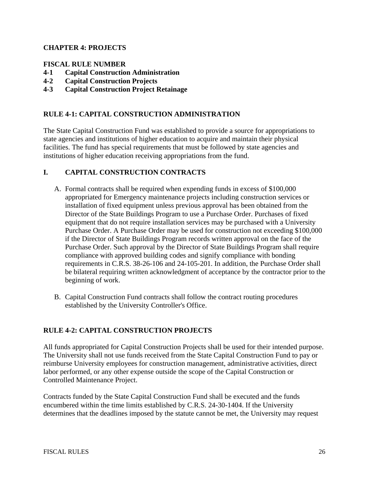## **CHAPTER 4: PROJECTS**

### **FISCAL RULE NUMBER**

- **4-1 Capital Construction Administration**
- **4-2 Capital Construction Projects**
- **4-3 Capital Construction Project Retainage**

### **RULE 4-1: CAPITAL CONSTRUCTION ADMINISTRATION**

The State Capital Construction Fund was established to provide a source for appropriations to state agencies and institutions of higher education to acquire and maintain their physical facilities. The fund has special requirements that must be followed by state agencies and institutions of higher education receiving appropriations from the fund.

### **I. CAPITAL CONSTRUCTION CONTRACTS**

- A. Formal contracts shall be required when expending funds in excess of \$100,000 appropriated for Emergency maintenance projects including construction services or installation of fixed equipment unless previous approval has been obtained from the Director of the State Buildings Program to use a Purchase Order. Purchases of fixed equipment that do not require installation services may be purchased with a University Purchase Order. A Purchase Order may be used for construction not exceeding \$100,000 if the Director of State Buildings Program records written approval on the face of the Purchase Order. Such approval by the Director of State Buildings Program shall require compliance with approved building codes and signify compliance with bonding requirements in C.R.S. 38-26-106 and 24-105-201. In addition, the Purchase Order shall be bilateral requiring written acknowledgment of acceptance by the contractor prior to the beginning of work.
- B. Capital Construction Fund contracts shall follow the contract routing procedures established by the University Controller's Office.

#### **RULE 4-2: CAPITAL CONSTRUCTION PROJECTS**

All funds appropriated for Capital Construction Projects shall be used for their intended purpose. The University shall not use funds received from the State Capital Construction Fund to pay or reimburse University employees for construction management, administrative activities, direct labor performed, or any other expense outside the scope of the Capital Construction or Controlled Maintenance Project.

Contracts funded by the State Capital Construction Fund shall be executed and the funds encumbered within the time limits established by C.R.S. 24-30-1404. If the University determines that the deadlines imposed by the statute cannot be met, the University may request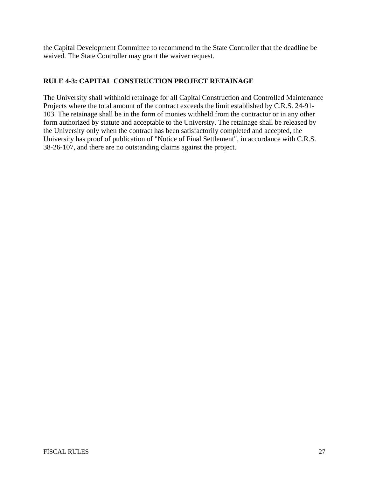the Capital Development Committee to recommend to the State Controller that the deadline be waived. The State Controller may grant the waiver request.

# **RULE 4-3: CAPITAL CONSTRUCTION PROJECT RETAINAGE**

The University shall withhold retainage for all Capital Construction and Controlled Maintenance Projects where the total amount of the contract exceeds the limit established by C.R.S. 24-91- 103. The retainage shall be in the form of monies withheld from the contractor or in any other form authorized by statute and acceptable to the University. The retainage shall be released by the University only when the contract has been satisfactorily completed and accepted, the University has proof of publication of "Notice of Final Settlement", in accordance with C.R.S. 38-26-107, and there are no outstanding claims against the project.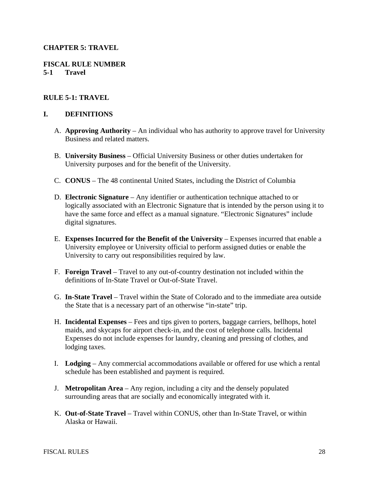### **CHAPTER 5: TRAVEL**

#### **FISCAL RULE NUMBER 5-1 Travel**

#### **RULE 5-1: TRAVEL**

#### **I. DEFINITIONS**

- A. **Approving Authority** An individual who has authority to approve travel for University Business and related matters.
- B. **University Business** Official University Business or other duties undertaken for University purposes and for the benefit of the University.
- C. **CONUS** The 48 continental United States, including the District of Columbia
- D. **Electronic Signature** Any identifier or authentication technique attached to or logically associated with an Electronic Signature that is intended by the person using it to have the same force and effect as a manual signature. "Electronic Signatures" include digital signatures.
- E. **Expenses Incurred for the Benefit of the University** Expenses incurred that enable a University employee or University official to perform assigned duties or enable the University to carry out responsibilities required by law.
- F. **Foreign Travel** Travel to any out-of-country destination not included within the definitions of In-State Travel or Out-of-State Travel.
- G. **In-State Travel** Travel within the State of Colorado and to the immediate area outside the State that is a necessary part of an otherwise "in-state" trip.
- H. **Incidental Expenses** Fees and tips given to porters, baggage carriers, bellhops, hotel maids, and skycaps for airport check-in, and the cost of telephone calls. Incidental Expenses do not include expenses for laundry, cleaning and pressing of clothes, and lodging taxes.
- I. **Lodging** Any commercial accommodations available or offered for use which a rental schedule has been established and payment is required.
- J. **Metropolitan Area** Any region, including a city and the densely populated surrounding areas that are socially and economically integrated with it.
- K. **Out-of-State Travel** Travel within CONUS, other than In-State Travel, or within Alaska or Hawaii.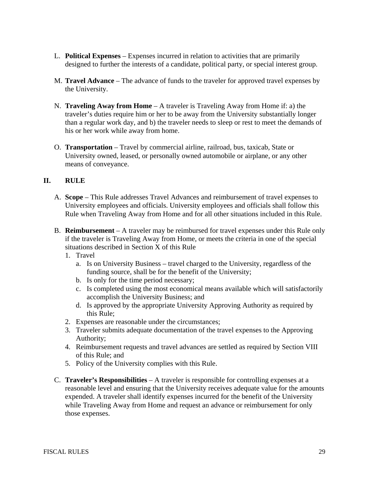- L. **Political Expenses** Expenses incurred in relation to activities that are primarily designed to further the interests of a candidate, political party, or special interest group.
- M. **Travel Advance** The advance of funds to the traveler for approved travel expenses by the University.
- N. **Traveling Away from Home** A traveler is Traveling Away from Home if: a) the traveler's duties require him or her to be away from the University substantially longer than a regular work day, and b) the traveler needs to sleep or rest to meet the demands of his or her work while away from home.
- O. **Transportation** Travel by commercial airline, railroad, bus, taxicab, State or University owned, leased, or personally owned automobile or airplane, or any other means of conveyance.

## **II. RULE**

- A. **Scope** This Rule addresses Travel Advances and reimbursement of travel expenses to University employees and officials. University employees and officials shall follow this Rule when Traveling Away from Home and for all other situations included in this Rule.
- B. **Reimbursement** A traveler may be reimbursed for travel expenses under this Rule only if the traveler is Traveling Away from Home, or meets the criteria in one of the special situations described in Section X of this Rule
	- 1. Travel
		- a. Is on University Business travel charged to the University, regardless of the funding source, shall be for the benefit of the University;
		- b. Is only for the time period necessary;
		- c. Is completed using the most economical means available which will satisfactorily accomplish the University Business; and
		- d. Is approved by the appropriate University Approving Authority as required by this Rule;
	- 2. Expenses are reasonable under the circumstances;
	- 3. Traveler submits adequate documentation of the travel expenses to the Approving Authority;
	- 4. Reimbursement requests and travel advances are settled as required by Section VIII of this Rule; and
	- 5. Policy of the University complies with this Rule.
- C. **Traveler's Responsibilities** A traveler is responsible for controlling expenses at a reasonable level and ensuring that the University receives adequate value for the amounts expended. A traveler shall identify expenses incurred for the benefit of the University while Traveling Away from Home and request an advance or reimbursement for only those expenses.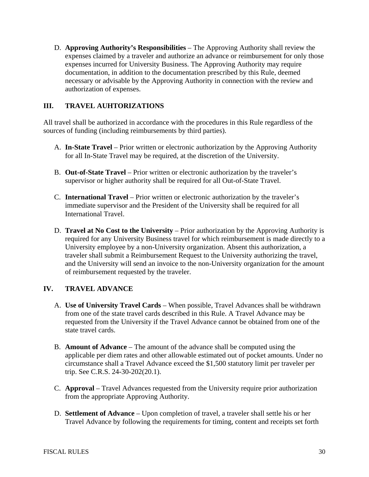D. **Approving Authority's Responsibilities** – The Approving Authority shall review the expenses claimed by a traveler and authorize an advance or reimbursement for only those expenses incurred for University Business. The Approving Authority may require documentation, in addition to the documentation prescribed by this Rule, deemed necessary or advisable by the Approving Authority in connection with the review and authorization of expenses.

# **III. TRAVEL AUHTORIZATIONS**

All travel shall be authorized in accordance with the procedures in this Rule regardless of the sources of funding (including reimbursements by third parties).

- A. **In-State Travel** Prior written or electronic authorization by the Approving Authority for all In-State Travel may be required, at the discretion of the University.
- B. **Out-of-State Travel** Prior written or electronic authorization by the traveler's supervisor or higher authority shall be required for all Out-of-State Travel.
- C. **International Travel** Prior written or electronic authorization by the traveler's immediate supervisor and the President of the University shall be required for all International Travel.
- D. **Travel at No Cost to the University** Prior authorization by the Approving Authority is required for any University Business travel for which reimbursement is made directly to a University employee by a non-University organization. Absent this authorization, a traveler shall submit a Reimbursement Request to the University authorizing the travel, and the University will send an invoice to the non-University organization for the amount of reimbursement requested by the traveler.

## **IV. TRAVEL ADVANCE**

- A. **Use of University Travel Cards** When possible, Travel Advances shall be withdrawn from one of the state travel cards described in this Rule. A Travel Advance may be requested from the University if the Travel Advance cannot be obtained from one of the state travel cards.
- B. **Amount of Advance** The amount of the advance shall be computed using the applicable per diem rates and other allowable estimated out of pocket amounts. Under no circumstance shall a Travel Advance exceed the \$1,500 statutory limit per traveler per trip. See C.R.S. 24-30-202(20.1).
- C. **Approval** Travel Advances requested from the University require prior authorization from the appropriate Approving Authority.
- D. **Settlement of Advance** Upon completion of travel, a traveler shall settle his or her Travel Advance by following the requirements for timing, content and receipts set forth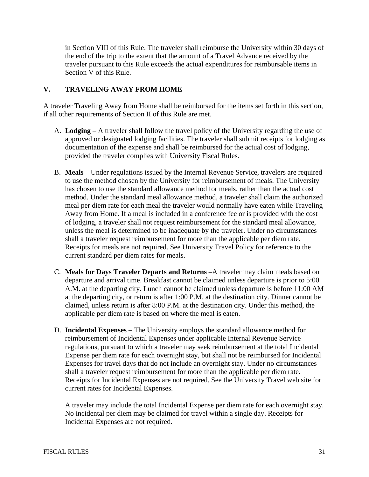in Section VIII of this Rule. The traveler shall reimburse the University within 30 days of the end of the trip to the extent that the amount of a Travel Advance received by the traveler pursuant to this Rule exceeds the actual expenditures for reimbursable items in Section V of this Rule.

## **V. TRAVELING AWAY FROM HOME**

A traveler Traveling Away from Home shall be reimbursed for the items set forth in this section, if all other requirements of Section II of this Rule are met.

- A. **Lodging** A traveler shall follow the travel policy of the University regarding the use of approved or designated lodging facilities. The traveler shall submit receipts for lodging as documentation of the expense and shall be reimbursed for the actual cost of lodging, provided the traveler complies with University Fiscal Rules.
- B. **Meals** Under regulations issued by the Internal Revenue Service, travelers are required to use the method chosen by the University for reimbursement of meals. The University has chosen to use the standard allowance method for meals, rather than the actual cost method. Under the standard meal allowance method, a traveler shall claim the authorized meal per diem rate for each meal the traveler would normally have eaten while Traveling Away from Home. If a meal is included in a conference fee or is provided with the cost of lodging, a traveler shall not request reimbursement for the standard meal allowance, unless the meal is determined to be inadequate by the traveler. Under no circumstances shall a traveler request reimbursement for more than the applicable per diem rate. Receipts for meals are not required. See University Travel Policy for reference to the current standard per diem rates for meals.
- C. **Meals for Days Traveler Departs and Returns** –A traveler may claim meals based on departure and arrival time. Breakfast cannot be claimed unless departure is prior to 5:00 A.M. at the departing city. Lunch cannot be claimed unless departure is before 11:00 AM at the departing city, or return is after 1:00 P.M. at the destination city. Dinner cannot be claimed, unless return is after 8:00 P.M. at the destination city. Under this method, the applicable per diem rate is based on where the meal is eaten.
- D. **Incidental Expenses** The University employs the standard allowance method for reimbursement of Incidental Expenses under applicable Internal Revenue Service regulations, pursuant to which a traveler may seek reimbursement at the total Incidental Expense per diem rate for each overnight stay, but shall not be reimbursed for Incidental Expenses for travel days that do not include an overnight stay. Under no circumstances shall a traveler request reimbursement for more than the applicable per diem rate. Receipts for Incidental Expenses are not required. See the University Travel web site for current rates for Incidental Expenses.

A traveler may include the total Incidental Expense per diem rate for each overnight stay. No incidental per diem may be claimed for travel within a single day. Receipts for Incidental Expenses are not required.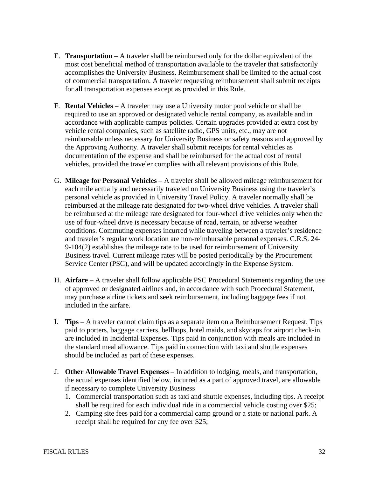- E. **Transportation** A traveler shall be reimbursed only for the dollar equivalent of the most cost beneficial method of transportation available to the traveler that satisfactorily accomplishes the University Business. Reimbursement shall be limited to the actual cost of commercial transportation. A traveler requesting reimbursement shall submit receipts for all transportation expenses except as provided in this Rule.
- F. **Rental Vehicles** A traveler may use a University motor pool vehicle or shall be required to use an approved or designated vehicle rental company, as available and in accordance with applicable campus policies. Certain upgrades provided at extra cost by vehicle rental companies, such as satellite radio, GPS units, etc., may are not reimbursable unless necessary for University Business or safety reasons and approved by the Approving Authority. A traveler shall submit receipts for rental vehicles as documentation of the expense and shall be reimbursed for the actual cost of rental vehicles, provided the traveler complies with all relevant provisions of this Rule.
- G. **Mileage for Personal Vehicles** A traveler shall be allowed mileage reimbursement for each mile actually and necessarily traveled on University Business using the traveler's personal vehicle as provided in University Travel Policy. A traveler normally shall be reimbursed at the mileage rate designated for two-wheel drive vehicles. A traveler shall be reimbursed at the mileage rate designated for four-wheel drive vehicles only when the use of four-wheel drive is necessary because of road, terrain, or adverse weather conditions. Commuting expenses incurred while traveling between a traveler's residence and traveler's regular work location are non-reimbursable personal expenses. C.R.S. 24- 9-104(2) establishes the mileage rate to be used for reimbursement of University Business travel. Current mileage rates will be posted periodically by the Procurement Service Center (PSC), and will be updated accordingly in the Expense System.
- H. **Airfare** A traveler shall follow applicable PSC Procedural Statements regarding the use of approved or designated airlines and, in accordance with such Procedural Statement, may purchase airline tickets and seek reimbursement, including baggage fees if not included in the airfare.
- I. **Tips** A traveler cannot claim tips as a separate item on a Reimbursement Request. Tips paid to porters, baggage carriers, bellhops, hotel maids, and skycaps for airport check-in are included in Incidental Expenses. Tips paid in conjunction with meals are included in the standard meal allowance. Tips paid in connection with taxi and shuttle expenses should be included as part of these expenses.
- J. **Other Allowable Travel Expenses** In addition to lodging, meals, and transportation, the actual expenses identified below, incurred as a part of approved travel, are allowable if necessary to complete University Business
	- 1. Commercial transportation such as taxi and shuttle expenses, including tips. A receipt shall be required for each individual ride in a commercial vehicle costing over \$25;
	- 2. Camping site fees paid for a commercial camp ground or a state or national park. A receipt shall be required for any fee over \$25;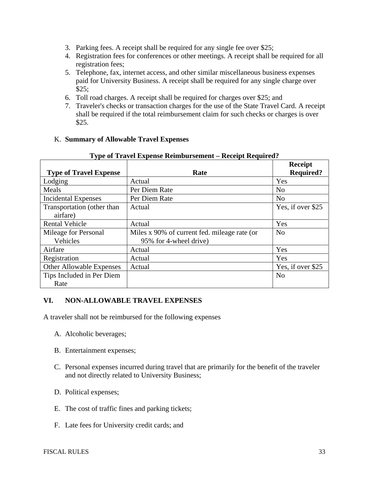- 3. Parking fees. A receipt shall be required for any single fee over \$25;
- 4. Registration fees for conferences or other meetings. A receipt shall be required for all registration fees;
- 5. Telephone, fax, internet access, and other similar miscellaneous business expenses paid for University Business. A receipt shall be required for any single charge over \$25;
- 6. Toll road charges. A receipt shall be required for charges over \$25; and
- 7. Traveler's checks or transaction charges for the use of the State Travel Card. A receipt shall be required if the total reimbursement claim for such checks or charges is over \$25.

### K. **Summary of Allowable Travel Expenses**

|                               |                                              | <b>Receipt</b>    |
|-------------------------------|----------------------------------------------|-------------------|
| <b>Type of Travel Expense</b> | Rate                                         | <b>Required?</b>  |
| Lodging                       | Actual                                       | Yes               |
| Meals                         | Per Diem Rate                                | N <sub>0</sub>    |
| <b>Incidental Expenses</b>    | Per Diem Rate                                | N <sub>o</sub>    |
| Transportation (other than    | Actual                                       | Yes, if over \$25 |
| airfare)                      |                                              |                   |
| <b>Rental Vehicle</b>         | Actual                                       | Yes               |
| Mileage for Personal          | Miles x 90% of current fed. mileage rate (or | N <sub>o</sub>    |
| Vehicles                      | 95% for 4-wheel drive)                       |                   |
| Airfare                       | Actual                                       | Yes               |
| Registration                  | Actual                                       | Yes               |
| Other Allowable Expenses      | Actual                                       | Yes, if over \$25 |
| Tips Included in Per Diem     |                                              | N <sub>o</sub>    |
| Rate                          |                                              |                   |

#### **Type of Travel Expense Reimbursement – Receipt Required?**

#### **VI. NON-ALLOWABLE TRAVEL EXPENSES**

A traveler shall not be reimbursed for the following expenses

- A. Alcoholic beverages;
- B. Entertainment expenses;
- C. Personal expenses incurred during travel that are primarily for the benefit of the traveler and not directly related to University Business;
- D. Political expenses;
- E. The cost of traffic fines and parking tickets;
- F. Late fees for University credit cards; and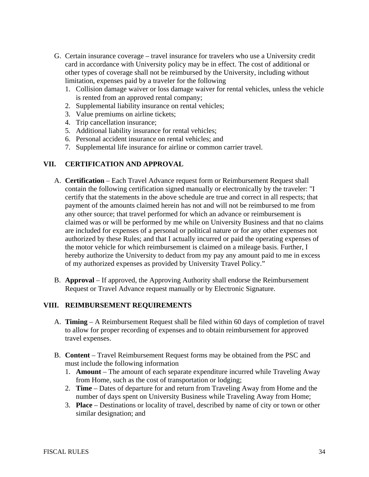- G. Certain insurance coverage travel insurance for travelers who use a University credit card in accordance with University policy may be in effect. The cost of additional or other types of coverage shall not be reimbursed by the University, including without limitation, expenses paid by a traveler for the following
	- 1. Collision damage waiver or loss damage waiver for rental vehicles, unless the vehicle is rented from an approved rental company;
	- 2. Supplemental liability insurance on rental vehicles;
	- 3. Value premiums on airline tickets;
	- 4. Trip cancellation insurance;
	- 5. Additional liability insurance for rental vehicles;
	- 6. Personal accident insurance on rental vehicles; and
	- 7. Supplemental life insurance for airline or common carrier travel.

### **VII. CERTIFICATION AND APPROVAL**

- A. **Certification** Each Travel Advance request form or Reimbursement Request shall contain the following certification signed manually or electronically by the traveler: "I certify that the statements in the above schedule are true and correct in all respects; that payment of the amounts claimed herein has not and will not be reimbursed to me from any other source; that travel performed for which an advance or reimbursement is claimed was or will be performed by me while on University Business and that no claims are included for expenses of a personal or political nature or for any other expenses not authorized by these Rules; and that I actually incurred or paid the operating expenses of the motor vehicle for which reimbursement is claimed on a mileage basis. Further, I hereby authorize the University to deduct from my pay any amount paid to me in excess of my authorized expenses as provided by University Travel Policy."
- B. **Approval** If approved, the Approving Authority shall endorse the Reimbursement Request or Travel Advance request manually or by Electronic Signature.

# **VIII. REIMBURSEMENT REQUIREMENTS**

- A. **Timing** A Reimbursement Request shall be filed within 60 days of completion of travel to allow for proper recording of expenses and to obtain reimbursement for approved travel expenses.
- B. **Content** Travel Reimbursement Request forms may be obtained from the PSC and must include the following information
	- 1. **Amount** The amount of each separate expenditure incurred while Traveling Away from Home, such as the cost of transportation or lodging;
	- 2. **Time** Dates of departure for and return from Traveling Away from Home and the number of days spent on University Business while Traveling Away from Home;
	- 3. **Place** Destinations or locality of travel, described by name of city or town or other similar designation; and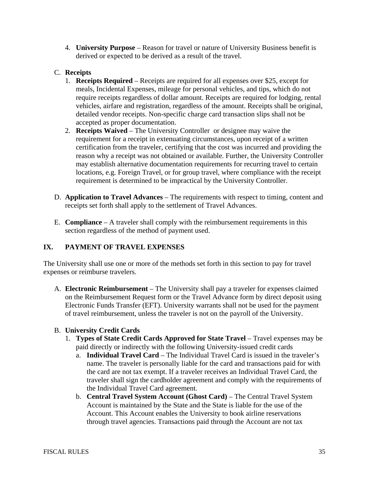4. **University Purpose** – Reason for travel or nature of University Business benefit is derived or expected to be derived as a result of the travel.

# C. **Receipts**

- 1. **Receipts Required** Receipts are required for all expenses over \$25, except for meals, Incidental Expenses, mileage for personal vehicles, and tips, which do not require receipts regardless of dollar amount. Receipts are required for lodging, rental vehicles, airfare and registration, regardless of the amount. Receipts shall be original, detailed vendor receipts. Non-specific charge card transaction slips shall not be accepted as proper documentation.
- 2. **Receipts Waived** The University Controller or designee may waive the requirement for a receipt in extenuating circumstances, upon receipt of a written certification from the traveler, certifying that the cost was incurred and providing the reason why a receipt was not obtained or available. Further, the University Controller may establish alternative documentation requirements for recurring travel to certain locations, e.g. Foreign Travel, or for group travel, where compliance with the receipt requirement is determined to be impractical by the University Controller.
- D. **Application to Travel Advances** The requirements with respect to timing, content and receipts set forth shall apply to the settlement of Travel Advances.
- E. **Compliance** A traveler shall comply with the reimbursement requirements in this section regardless of the method of payment used.

## **IX. PAYMENT OF TRAVEL EXPENSES**

The University shall use one or more of the methods set forth in this section to pay for travel expenses or reimburse travelers.

A. **Electronic Reimbursement** – The University shall pay a traveler for expenses claimed on the Reimbursement Request form or the Travel Advance form by direct deposit using Electronic Funds Transfer (EFT). University warrants shall not be used for the payment of travel reimbursement, unless the traveler is not on the payroll of the University.

## B. **University Credit Cards**

- 1. **Types of State Credit Cards Approved for State Travel** Travel expenses may be paid directly or indirectly with the following University-issued credit cards
	- a. **Individual Travel Card** The Individual Travel Card is issued in the traveler's name. The traveler is personally liable for the card and transactions paid for with the card are not tax exempt. If a traveler receives an Individual Travel Card, the traveler shall sign the cardholder agreement and comply with the requirements of the Individual Travel Card agreement.
	- b. **Central Travel System Account (Ghost Card)** The Central Travel System Account is maintained by the State and the State is liable for the use of the Account. This Account enables the University to book airline reservations through travel agencies. Transactions paid through the Account are not tax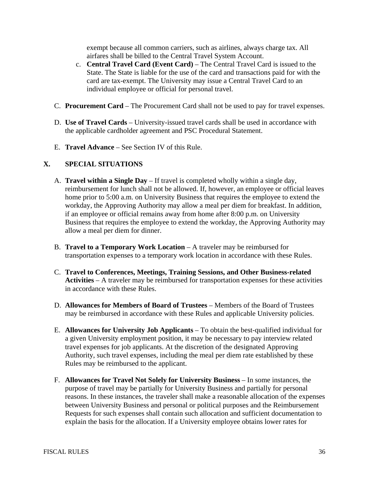exempt because all common carriers, such as airlines, always charge tax. All airfares shall be billed to the Central Travel System Account.

- c. **Central Travel Card (Event Card)** The Central Travel Card is issued to the State. The State is liable for the use of the card and transactions paid for with the card are tax-exempt. The University may issue a Central Travel Card to an individual employee or official for personal travel.
- C. **Procurement Card** The Procurement Card shall not be used to pay for travel expenses.
- D. **Use of Travel Cards** University-issued travel cards shall be used in accordance with the applicable cardholder agreement and PSC Procedural Statement.
- E. **Travel Advance** See Section IV of this Rule.

## **X. SPECIAL SITUATIONS**

- A. **Travel within a Single Day** If travel is completed wholly within a single day, reimbursement for lunch shall not be allowed. If, however, an employee or official leaves home prior to 5:00 a.m. on University Business that requires the employee to extend the workday, the Approving Authority may allow a meal per diem for breakfast. In addition, if an employee or official remains away from home after 8:00 p.m. on University Business that requires the employee to extend the workday, the Approving Authority may allow a meal per diem for dinner.
- B. **Travel to a Temporary Work Location** A traveler may be reimbursed for transportation expenses to a temporary work location in accordance with these Rules.
- C. **Travel to Conferences, Meetings, Training Sessions, and Other Business-related Activities** – A traveler may be reimbursed for transportation expenses for these activities in accordance with these Rules.
- D. **Allowances for Members of Board of Trustees** Members of the Board of Trustees may be reimbursed in accordance with these Rules and applicable University policies.
- E. **Allowances for University Job Applicants** To obtain the best-qualified individual for a given University employment position, it may be necessary to pay interview related travel expenses for job applicants. At the discretion of the designated Approving Authority, such travel expenses, including the meal per diem rate established by these Rules may be reimbursed to the applicant.
- F. **Allowances for Travel Not Solely for University Business** In some instances, the purpose of travel may be partially for University Business and partially for personal reasons. In these instances, the traveler shall make a reasonable allocation of the expenses between University Business and personal or political purposes and the Reimbursement Requests for such expenses shall contain such allocation and sufficient documentation to explain the basis for the allocation. If a University employee obtains lower rates for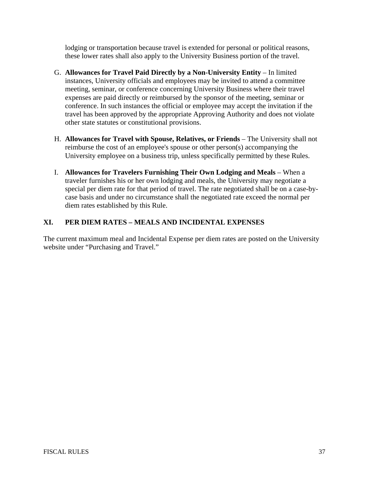lodging or transportation because travel is extended for personal or political reasons, these lower rates shall also apply to the University Business portion of the travel.

- G. **Allowances for Travel Paid Directly by a Non-University Entity** In limited instances, University officials and employees may be invited to attend a committee meeting, seminar, or conference concerning University Business where their travel expenses are paid directly or reimbursed by the sponsor of the meeting, seminar or conference. In such instances the official or employee may accept the invitation if the travel has been approved by the appropriate Approving Authority and does not violate other state statutes or constitutional provisions.
- H. **Allowances for Travel with Spouse, Relatives, or Friends** The University shall not reimburse the cost of an employee's spouse or other person(s) accompanying the University employee on a business trip, unless specifically permitted by these Rules.
- I. **Allowances for Travelers Furnishing Their Own Lodging and Meals** When a traveler furnishes his or her own lodging and meals, the University may negotiate a special per diem rate for that period of travel. The rate negotiated shall be on a case-bycase basis and under no circumstance shall the negotiated rate exceed the normal per diem rates established by this Rule.

# **XI. PER DIEM RATES – MEALS AND INCIDENTAL EXPENSES**

The current maximum meal and Incidental Expense per diem rates are posted on the University website under "Purchasing and Travel."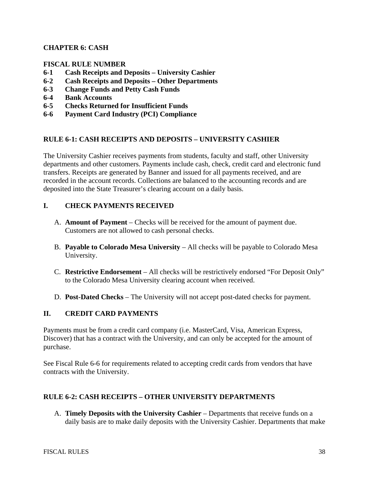## **CHAPTER 6: CASH**

### **FISCAL RULE NUMBER**

- **6-1 Cash Receipts and Deposits University Cashier**
- **6-2 Cash Receipts and Deposits Other Departments**
- **6-3 Change Funds and Petty Cash Funds**
- **6-4 Bank Accounts**
- **6-5 Checks Returned for Insufficient Funds**
- **6-6 Payment Card Industry (PCI) Compliance**

### **RULE 6-1: CASH RECEIPTS AND DEPOSITS – UNIVERSITY CASHIER**

The University Cashier receives payments from students, faculty and staff, other University departments and other customers. Payments include cash, check, credit card and electronic fund transfers. Receipts are generated by Banner and issued for all payments received, and are recorded in the account records. Collections are balanced to the accounting records and are deposited into the State Treasurer's clearing account on a daily basis.

### **I. CHECK PAYMENTS RECEIVED**

- A. **Amount of Payment** Checks will be received for the amount of payment due. Customers are not allowed to cash personal checks.
- B. **Payable to Colorado Mesa University** All checks will be payable to Colorado Mesa University.
- C. **Restrictive Endorsement** All checks will be restrictively endorsed "For Deposit Only" to the Colorado Mesa University clearing account when received.
- D. **Post-Dated Checks** The University will not accept post-dated checks for payment.

#### **II. CREDIT CARD PAYMENTS**

Payments must be from a credit card company (i.e. MasterCard, Visa, American Express, Discover) that has a contract with the University, and can only be accepted for the amount of purchase.

See Fiscal Rule 6-6 for requirements related to accepting credit cards from vendors that have contracts with the University.

#### **RULE 6-2: CASH RECEIPTS – OTHER UNIVERSITY DEPARTMENTS**

A. **Timely Deposits with the University Cashier** – Departments that receive funds on a daily basis are to make daily deposits with the University Cashier. Departments that make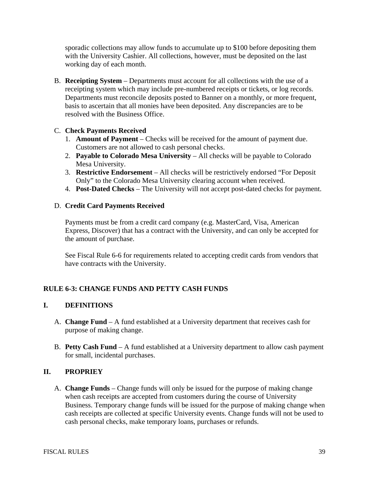sporadic collections may allow funds to accumulate up to \$100 before depositing them with the University Cashier. All collections, however, must be deposited on the last working day of each month.

B. **Receipting System** – Departments must account for all collections with the use of a receipting system which may include pre-numbered receipts or tickets, or log records. Departments must reconcile deposits posted to Banner on a monthly, or more frequent, basis to ascertain that all monies have been deposited. Any discrepancies are to be resolved with the Business Office.

## C. **Check Payments Received**

- 1. **Amount of Payment**  Checks will be received for the amount of payment due. Customers are not allowed to cash personal checks.
- 2. **Payable to Colorado Mesa University** All checks will be payable to Colorado Mesa University.
- 3. **Restrictive Endorsement** All checks will be restrictively endorsed "For Deposit Only" to the Colorado Mesa University clearing account when received.
- 4. **Post-Dated Checks** The University will not accept post-dated checks for payment.

### D. **Credit Card Payments Received**

Payments must be from a credit card company (e.g. MasterCard, Visa, American Express, Discover) that has a contract with the University, and can only be accepted for the amount of purchase.

See Fiscal Rule 6-6 for requirements related to accepting credit cards from vendors that have contracts with the University.

## **RULE 6-3: CHANGE FUNDS AND PETTY CASH FUNDS**

## **I. DEFINITIONS**

- A. **Change Fund** A fund established at a University department that receives cash for purpose of making change.
- B. **Petty Cash Fund** A fund established at a University department to allow cash payment for small, incidental purchases.

## **II. PROPRIEY**

A. **Change Funds** – Change funds will only be issued for the purpose of making change when cash receipts are accepted from customers during the course of University Business. Temporary change funds will be issued for the purpose of making change when cash receipts are collected at specific University events. Change funds will not be used to cash personal checks, make temporary loans, purchases or refunds.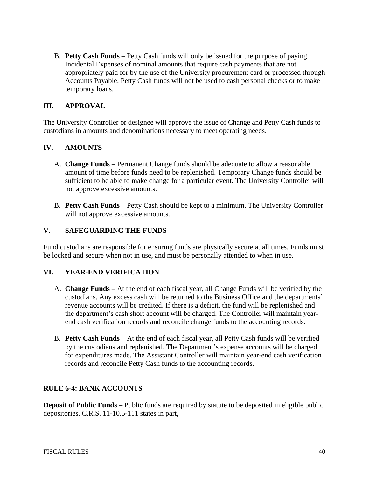B. **Petty Cash Funds** – Petty Cash funds will only be issued for the purpose of paying Incidental Expenses of nominal amounts that require cash payments that are not appropriately paid for by the use of the University procurement card or processed through Accounts Payable. Petty Cash funds will not be used to cash personal checks or to make temporary loans.

### **III. APPROVAL**

The University Controller or designee will approve the issue of Change and Petty Cash funds to custodians in amounts and denominations necessary to meet operating needs.

### **IV. AMOUNTS**

- A. **Change Funds** Permanent Change funds should be adequate to allow a reasonable amount of time before funds need to be replenished. Temporary Change funds should be sufficient to be able to make change for a particular event. The University Controller will not approve excessive amounts.
- B. **Petty Cash Funds** Petty Cash should be kept to a minimum. The University Controller will not approve excessive amounts.

#### **V. SAFEGUARDING THE FUNDS**

Fund custodians are responsible for ensuring funds are physically secure at all times. Funds must be locked and secure when not in use, and must be personally attended to when in use.

#### **VI. YEAR-END VERIFICATION**

- A. **Change Funds** At the end of each fiscal year, all Change Funds will be verified by the custodians. Any excess cash will be returned to the Business Office and the departments' revenue accounts will be credited. If there is a deficit, the fund will be replenished and the department's cash short account will be charged. The Controller will maintain yearend cash verification records and reconcile change funds to the accounting records.
- B. **Petty Cash Funds** At the end of each fiscal year, all Petty Cash funds will be verified by the custodians and replenished. The Department's expense accounts will be charged for expenditures made. The Assistant Controller will maintain year-end cash verification records and reconcile Petty Cash funds to the accounting records.

#### **RULE 6-4: BANK ACCOUNTS**

**Deposit of Public Funds** – Public funds are required by statute to be deposited in eligible public depositories. C.R.S. 11-10.5-111 states in part,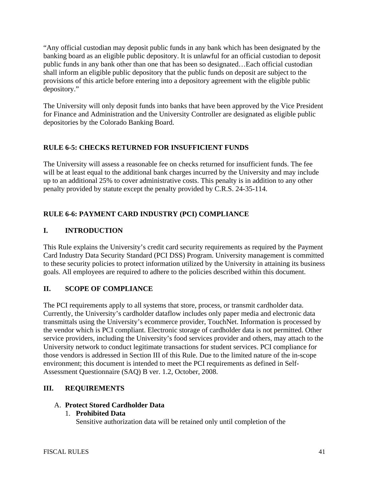"Any official custodian may deposit public funds in any bank which has been designated by the banking board as an eligible public depository. It is unlawful for an official custodian to deposit public funds in any bank other than one that has been so designated…Each official custodian shall inform an eligible public depository that the public funds on deposit are subject to the provisions of this article before entering into a depository agreement with the eligible public depository."

The University will only deposit funds into banks that have been approved by the Vice President for Finance and Administration and the University Controller are designated as eligible public depositories by the Colorado Banking Board.

# **RULE 6-5: CHECKS RETURNED FOR INSUFFICIENT FUNDS**

The University will assess a reasonable fee on checks returned for insufficient funds. The fee will be at least equal to the additional bank charges incurred by the University and may include up to an additional 25% to cover administrative costs. This penalty is in addition to any other penalty provided by statute except the penalty provided by C.R.S. 24-35-114.

# **RULE 6-6: PAYMENT CARD INDUSTRY (PCI) COMPLIANCE**

# **I. INTRODUCTION**

This Rule explains the University's credit card security requirements as required by the Payment Card Industry Data Security Standard (PCI DSS) Program. University management is committed to these security policies to protect information utilized by the University in attaining its business goals. All employees are required to adhere to the policies described within this document.

# **II. SCOPE OF COMPLIANCE**

The PCI requirements apply to all systems that store, process, or transmit cardholder data. Currently, the University's cardholder dataflow includes only paper media and electronic data transmittals using the University's ecommerce provider, TouchNet. Information is processed by the vendor which is PCI compliant. Electronic storage of cardholder data is not permitted. Other service providers, including the University's food services provider and others, may attach to the University network to conduct legitimate transactions for student services. PCI compliance for those vendors is addressed in Section III of this Rule. Due to the limited nature of the in-scope environment; this document is intended to meet the PCI requirements as defined in Self-Assessment Questionnaire (SAQ) B ver. 1.2, October, 2008.

## **III. REQUIREMENTS**

## A. **Protect Stored Cardholder Data**

## 1. **Prohibited Data**

Sensitive authorization data will be retained only until completion of the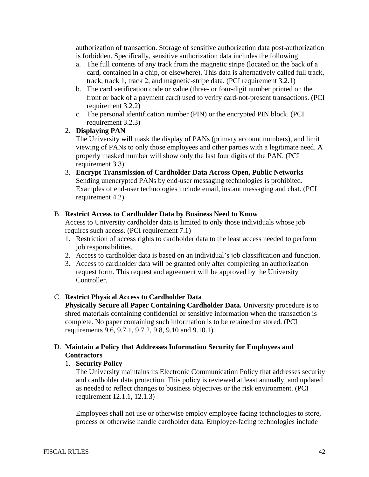authorization of transaction. Storage of sensitive authorization data post-authorization is forbidden. Specifically, sensitive authorization data includes the following

- a. The full contents of any track from the magnetic stripe (located on the back of a card, contained in a chip, or elsewhere). This data is alternatively called full track, track, track 1, track 2, and magnetic-stripe data. (PCI requirement 3.2.1)
- b. The card verification code or value (three- or four-digit number printed on the front or back of a payment card) used to verify card-not-present transactions. (PCI requirement 3.2.2)
- c. The personal identification number (PIN) or the encrypted PIN block. (PCI requirement 3.2.3)
- 2. **Displaying PAN**

The University will mask the display of PANs (primary account numbers), and limit viewing of PANs to only those employees and other parties with a legitimate need. A properly masked number will show only the last four digits of the PAN. (PCI requirement 3.3)

3. **Encrypt Transmission of Cardholder Data Across Open, Public Networks** Sending unencrypted PANs by end-user messaging technologies is prohibited. Examples of end-user technologies include email, instant messaging and chat. (PCI requirement 4.2)

#### B. **Restrict Access to Cardholder Data by Business Need to Know**

Access to University cardholder data is limited to only those individuals whose job requires such access. (PCI requirement 7.1)

- 1. Restriction of access rights to cardholder data to the least access needed to perform job responsibilities.
- 2. Access to cardholder data is based on an individual's job classification and function.
- 3. Access to cardholder data will be granted only after completing an authorization request form. This request and agreement will be approved by the University Controller.

#### C. **Restrict Physical Access to Cardholder Data**

**Physically Secure all Paper Containing Cardholder Data.** University procedure is to shred materials containing confidential or sensitive information when the transaction is complete. No paper containing such information is to be retained or stored. (PCI requirements 9.6, 9.7.1, 9.7.2, 9.8, 9.10 and 9.10.1)

#### D. **Maintain a Policy that Addresses Information Security for Employees and Contractors**

#### 1. **Security Policy**

The University maintains its Electronic Communication Policy that addresses security and cardholder data protection. This policy is reviewed at least annually, and updated as needed to reflect changes to business objectives or the risk environment. (PCI requirement 12.1.1, 12.1.3)

Employees shall not use or otherwise employ employee-facing technologies to store, process or otherwise handle cardholder data. Employee-facing technologies include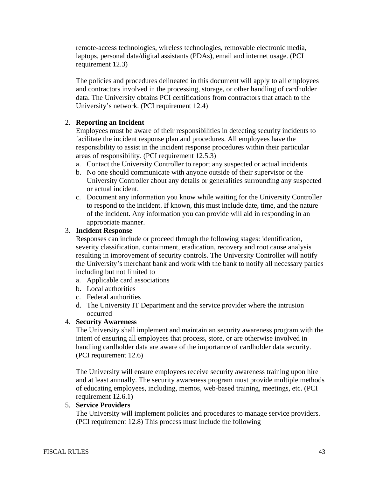remote-access technologies, wireless technologies, removable electronic media, laptops, personal data/digital assistants (PDAs), email and internet usage. (PCI requirement 12.3)

The policies and procedures delineated in this document will apply to all employees and contractors involved in the processing, storage, or other handling of cardholder data. The University obtains PCI certifications from contractors that attach to the University's network. (PCI requirement 12.4)

## 2. **Reporting an Incident**

Employees must be aware of their responsibilities in detecting security incidents to facilitate the incident response plan and procedures. All employees have the responsibility to assist in the incident response procedures within their particular areas of responsibility. (PCI requirement 12.5.3)

- a. Contact the University Controller to report any suspected or actual incidents.
- b. No one should communicate with anyone outside of their supervisor or the University Controller about any details or generalities surrounding any suspected or actual incident.
- c. Document any information you know while waiting for the University Controller to respond to the incident. If known, this must include date, time, and the nature of the incident. Any information you can provide will aid in responding in an appropriate manner.

#### 3. **Incident Response**

Responses can include or proceed through the following stages: identification, severity classification, containment, eradication, recovery and root cause analysis resulting in improvement of security controls. The University Controller will notify the University's merchant bank and work with the bank to notify all necessary parties including but not limited to

- a. Applicable card associations
- b. Local authorities
- c. Federal authorities
- d. The University IT Department and the service provider where the intrusion occurred

## 4. **Security Awareness**

The University shall implement and maintain an security awareness program with the intent of ensuring all employees that process, store, or are otherwise involved in handling cardholder data are aware of the importance of cardholder data security. (PCI requirement 12.6)

The University will ensure employees receive security awareness training upon hire and at least annually. The security awareness program must provide multiple methods of educating employees, including, memos, web-based training, meetings, etc. (PCI requirement 12.6.1)

#### 5. **Service Providers**

The University will implement policies and procedures to manage service providers. (PCI requirement 12.8) This process must include the following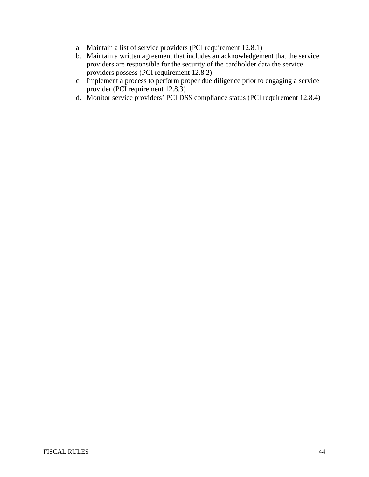- a. Maintain a list of service providers (PCI requirement 12.8.1)
- b. Maintain a written agreement that includes an acknowledgement that the service providers are responsible for the security of the cardholder data the service providers possess (PCI requirement 12.8.2)
- c. Implement a process to perform proper due diligence prior to engaging a service provider (PCI requirement 12.8.3)
- d. Monitor service providers' PCI DSS compliance status (PCI requirement 12.8.4)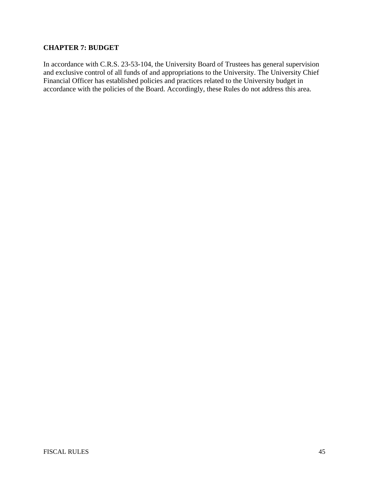## **CHAPTER 7: BUDGET**

In accordance with C.R.S. 23-53-104, the University Board of Trustees has general supervision and exclusive control of all funds of and appropriations to the University. The University Chief Financial Officer has established policies and practices related to the University budget in accordance with the policies of the Board. Accordingly, these Rules do not address this area.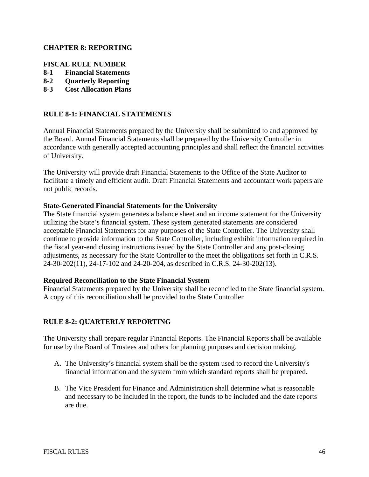### **CHAPTER 8: REPORTING**

### **FISCAL RULE NUMBER**

- **8-1 Financial Statements**
- **8-2 Quarterly Reporting**
- **8-3 Cost Allocation Plans**

### **RULE 8-1: FINANCIAL STATEMENTS**

Annual Financial Statements prepared by the University shall be submitted to and approved by the Board. Annual Financial Statements shall be prepared by the University Controller in accordance with generally accepted accounting principles and shall reflect the financial activities of University.

The University will provide draft Financial Statements to the Office of the State Auditor to facilitate a timely and efficient audit. Draft Financial Statements and accountant work papers are not public records.

#### **State-Generated Financial Statements for the University**

The State financial system generates a balance sheet and an income statement for the University utilizing the State's financial system. These system generated statements are considered acceptable Financial Statements for any purposes of the State Controller. The University shall continue to provide information to the State Controller, including exhibit information required in the fiscal year-end closing instructions issued by the State Controller and any post-closing adjustments, as necessary for the State Controller to the meet the obligations set forth in C.R.S. 24-30-202(11), 24-17-102 and 24-20-204, as described in C.R.S. 24-30-202(13).

#### **Required Reconciliation to the State Financial System**

Financial Statements prepared by the University shall be reconciled to the State financial system. A copy of this reconciliation shall be provided to the State Controller

#### **RULE 8-2: QUARTERLY REPORTING**

The University shall prepare regular Financial Reports. The Financial Reports shall be available for use by the Board of Trustees and others for planning purposes and decision making.

- A. The University's financial system shall be the system used to record the University's financial information and the system from which standard reports shall be prepared.
- B. The Vice President for Finance and Administration shall determine what is reasonable and necessary to be included in the report, the funds to be included and the date reports are due.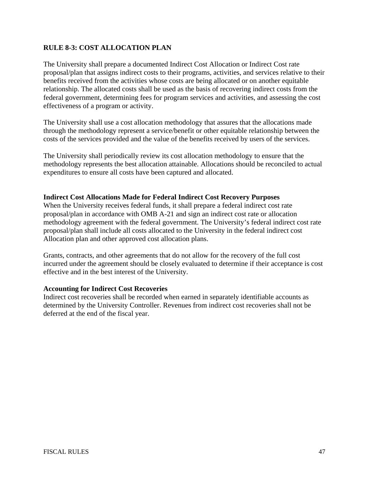## **RULE 8-3: COST ALLOCATION PLAN**

The University shall prepare a documented Indirect Cost Allocation or Indirect Cost rate proposal/plan that assigns indirect costs to their programs, activities, and services relative to their benefits received from the activities whose costs are being allocated or on another equitable relationship. The allocated costs shall be used as the basis of recovering indirect costs from the federal government, determining fees for program services and activities, and assessing the cost effectiveness of a program or activity.

The University shall use a cost allocation methodology that assures that the allocations made through the methodology represent a service/benefit or other equitable relationship between the costs of the services provided and the value of the benefits received by users of the services.

The University shall periodically review its cost allocation methodology to ensure that the methodology represents the best allocation attainable. Allocations should be reconciled to actual expenditures to ensure all costs have been captured and allocated.

#### **Indirect Cost Allocations Made for Federal Indirect Cost Recovery Purposes**

When the University receives federal funds, it shall prepare a federal indirect cost rate proposal/plan in accordance with OMB A-21 and sign an indirect cost rate or allocation methodology agreement with the federal government. The University's federal indirect cost rate proposal/plan shall include all costs allocated to the University in the federal indirect cost Allocation plan and other approved cost allocation plans.

Grants, contracts, and other agreements that do not allow for the recovery of the full cost incurred under the agreement should be closely evaluated to determine if their acceptance is cost effective and in the best interest of the University.

#### **Accounting for Indirect Cost Recoveries**

Indirect cost recoveries shall be recorded when earned in separately identifiable accounts as determined by the University Controller. Revenues from indirect cost recoveries shall not be deferred at the end of the fiscal year.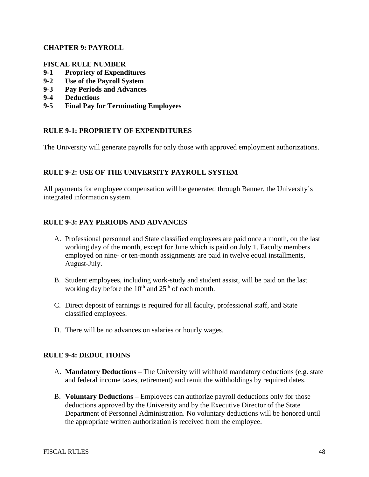### **CHAPTER 9: PAYROLL**

#### **FISCAL RULE NUMBER**

- **9-1 Propriety of Expenditures**
- **9-2 Use of the Payroll System**
- **9-3 Pay Periods and Advances**
- **9-4 Deductions**
- **9-5 Final Pay for Terminating Employees**

### **RULE 9-1: PROPRIETY OF EXPENDITURES**

The University will generate payrolls for only those with approved employment authorizations.

### **RULE 9-2: USE OF THE UNIVERSITY PAYROLL SYSTEM**

All payments for employee compensation will be generated through Banner, the University's integrated information system.

### **RULE 9-3: PAY PERIODS AND ADVANCES**

- A. Professional personnel and State classified employees are paid once a month, on the last working day of the month, except for June which is paid on July 1. Faculty members employed on nine- or ten-month assignments are paid in twelve equal installments, August-July.
- B. Student employees, including work-study and student assist, will be paid on the last working day before the  $10^{th}$  and  $25^{th}$  of each month.
- C. Direct deposit of earnings is required for all faculty, professional staff, and State classified employees.
- D. There will be no advances on salaries or hourly wages.

#### **RULE 9-4: DEDUCTIOINS**

- A. **Mandatory Deductions** The University will withhold mandatory deductions (e.g. state and federal income taxes, retirement) and remit the withholdings by required dates.
- B. **Voluntary Deductions** Employees can authorize payroll deductions only for those deductions approved by the University and by the Executive Director of the State Department of Personnel Administration. No voluntary deductions will be honored until the appropriate written authorization is received from the employee.